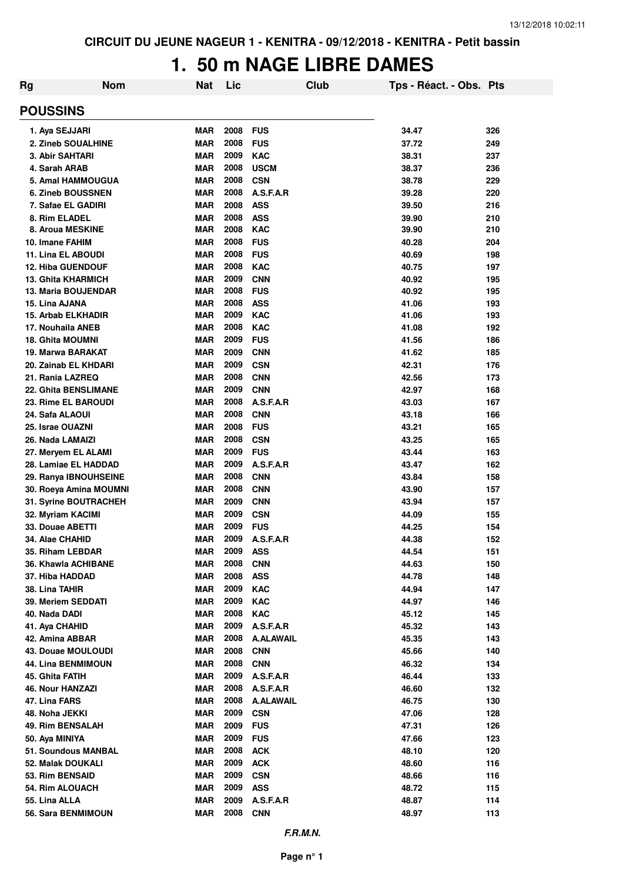## **1. 50 m NAGE LIBRE DAMES**

| Rg                                           | <b>Nom</b> | <b>Nat</b>               | Lic          | Club                     | Tps - Réact. - Obs. Pts |            |
|----------------------------------------------|------------|--------------------------|--------------|--------------------------|-------------------------|------------|
| <b>POUSSINS</b>                              |            |                          |              |                          |                         |            |
| 1. Aya SEJJARI                               |            | <b>MAR</b>               | 2008         | <b>FUS</b>               | 34.47                   | 326        |
| 2. Zineb SOUALHINE                           |            | <b>MAR</b>               | 2008         | <b>FUS</b>               | 37.72                   | 249        |
| <b>3. Abir SAHTARI</b>                       |            | <b>MAR</b>               | 2009         | <b>KAC</b>               | 38.31                   | 237        |
| 4. Sarah ARAB                                |            | <b>MAR</b>               | 2008         | <b>USCM</b>              | 38.37                   | 236        |
| 5. Amal HAMMOUGUA                            |            | <b>MAR</b>               | 2008         | <b>CSN</b>               | 38.78                   | 229        |
| <b>6. Zineb BOUSSNEN</b>                     |            | <b>MAR</b>               | 2008         | A.S.F.A.R                | 39.28                   | 220        |
| 7. Safae EL GADIRI                           |            | <b>MAR</b>               | 2008         | <b>ASS</b>               | 39.50                   | 216        |
| 8. Rim ELADEL                                |            | <b>MAR</b>               | 2008         | <b>ASS</b>               | 39.90                   | 210        |
| 8. Aroua MESKINE                             |            | <b>MAR</b>               | 2008         | <b>KAC</b>               | 39.90                   | 210        |
| 10. Imane FAHIM                              |            | <b>MAR</b>               | 2008         | <b>FUS</b>               | 40.28                   | 204        |
| 11. Lina EL ABOUDI                           |            | <b>MAR</b>               | 2008         | <b>FUS</b>               | 40.69                   | 198        |
| <b>12. Hiba GUENDOUF</b>                     |            | <b>MAR</b>               | 2008         | <b>KAC</b>               | 40.75                   | 197        |
| <b>13. Ghita KHARMICH</b>                    |            | <b>MAR</b>               | 2009         | <b>CNN</b>               | 40.92                   | 195        |
| <b>13. Maria BOUJENDAR</b>                   |            | <b>MAR</b>               | 2008         | <b>FUS</b>               | 40.92                   | 195        |
| 15. Lina AJANA                               |            | <b>MAR</b>               | 2008         | <b>ASS</b>               | 41.06                   | 193        |
| 15. Arbab ELKHADIR                           |            | <b>MAR</b>               | 2009         | <b>KAC</b>               | 41.06                   | 193        |
| 17. Nouhaila ANEB                            |            | <b>MAR</b>               | 2008         | <b>KAC</b>               | 41.08                   | 192        |
| <b>18. Ghita MOUMNI</b><br>19. Marwa BARAKAT |            | <b>MAR</b>               | 2009<br>2009 | <b>FUS</b>               | 41.56                   | 186        |
| 20. Zainab EL KHDARI                         |            | <b>MAR</b>               | 2009         | <b>CNN</b><br><b>CSN</b> | 41.62<br>42.31          | 185        |
| 21. Rania LAZREQ                             |            | <b>MAR</b><br><b>MAR</b> | 2008         | <b>CNN</b>               | 42.56                   | 176<br>173 |
| <b>22. Ghita BENSLIMANE</b>                  |            | <b>MAR</b>               | 2009         | <b>CNN</b>               | 42.97                   | 168        |
| 23. Rime EL BAROUDI                          |            | <b>MAR</b>               | 2008         | A.S.F.A.R                | 43.03                   | 167        |
| 24. Safa ALAOUI                              |            | <b>MAR</b>               | 2008         | <b>CNN</b>               | 43.18                   | 166        |
| 25. Israe OUAZNI                             |            | <b>MAR</b>               | 2008         | <b>FUS</b>               | 43.21                   | 165        |
| 26. Nada LAMAIZI                             |            | <b>MAR</b>               | 2008         | <b>CSN</b>               | 43.25                   | 165        |
| 27. Meryem EL ALAMI                          |            | <b>MAR</b>               | 2009         | <b>FUS</b>               | 43.44                   | 163        |
| 28. Lamiae EL HADDAD                         |            | <b>MAR</b>               | 2009         | A.S.F.A.R                | 43.47                   | 162        |
| 29. Ranya IBNOUHSEINE                        |            | <b>MAR</b>               | 2008         | <b>CNN</b>               | 43.84                   | 158        |
| 30. Roeya Amina MOUMNI                       |            | <b>MAR</b>               | 2008         | <b>CNN</b>               | 43.90                   | 157        |
| 31. Syrine BOUTRACHEH                        |            | <b>MAR</b>               | 2009         | <b>CNN</b>               | 43.94                   | 157        |
| 32. Myriam KACIMI                            |            | <b>MAR</b>               | 2009         | <b>CSN</b>               | 44.09                   | 155        |
| 33. Douae ABETTI                             |            | <b>MAR</b>               | 2009         | <b>FUS</b>               | 44.25                   | 154        |
| 34. Alae CHAHID                              |            | <b>MAR</b>               | 2009         | A.S.F.A.R                | 44.38                   | 152        |
| 35. Riham LEBDAR                             |            | <b>MAR</b>               | 2009         | <b>ASS</b>               | 44.54                   | 151        |
| 36. Khawla ACHIBANE                          |            | <b>MAR</b>               | 2008         | <b>CNN</b>               | 44.63                   | 150        |
| 37. Hiba HADDAD                              |            | <b>MAR</b>               | 2008         | <b>ASS</b>               | 44.78                   | 148        |
| 38. Lina TAHIR                               |            | <b>MAR</b>               | 2009         | <b>KAC</b>               | 44.94                   | 147        |
| 39. Meriem SEDDATI                           |            | MAR                      | 2009         | <b>KAC</b>               | 44.97                   | 146        |
| 40. Nada DADI                                |            | <b>MAR</b>               | 2008         | <b>KAC</b>               | 45.12                   | 145        |
| 41. Aya CHAHID                               |            | <b>MAR</b>               | 2009         | A.S.F.A.R                | 45.32                   | 143        |
| 42. Amina ABBAR                              |            | <b>MAR</b>               | 2008         | <b>A.ALAWAIL</b>         | 45.35                   | 143        |
| 43. Douae MOULOUDI                           |            | <b>MAR</b>               | 2008         | <b>CNN</b>               | 45.66                   | 140        |
| 44. Lina BENMIMOUN                           |            | <b>MAR</b>               | 2008         | <b>CNN</b>               | 46.32                   | 134        |
| 45. Ghita FATIH                              |            | <b>MAR</b>               | 2009         | A.S.F.A.R                | 46.44                   | 133        |
| <b>46. Nour HANZAZI</b>                      |            | <b>MAR</b>               | 2008         | A.S.F.A.R                | 46.60                   | 132        |
| 47. Lina FARS                                |            | <b>MAR</b>               | 2008         | <b>A.ALAWAIL</b>         | 46.75                   | 130        |
| 48. Noha JEKKI                               |            | <b>MAR</b>               | 2009         | <b>CSN</b>               | 47.06                   | 128        |
| 49. Rim BENSALAH                             |            | <b>MAR</b>               | 2009         | <b>FUS</b>               | 47.31                   | 126        |
| 50. Aya MINIYA                               |            | <b>MAR</b>               | 2009         | <b>FUS</b>               | 47.66                   | 123        |
| 51. Soundous MANBAL                          |            | <b>MAR</b>               | 2008         | <b>ACK</b>               | 48.10                   | 120        |
| 52. Malak DOUKALI                            |            | <b>MAR</b>               | 2009         | <b>ACK</b>               | 48.60                   | 116        |
| 53. Rim BENSAID                              |            | <b>MAR</b>               | 2009         | <b>CSN</b>               | 48.66                   | 116        |
| 54. Rim ALOUACH                              |            | <b>MAR</b>               | 2009         | <b>ASS</b>               | 48.72                   | 115        |
| 55. Lina ALLA<br>56. Sara BENMIMOUN          |            | <b>MAR</b><br><b>MAR</b> | 2009<br>2008 | A.S.F.A.R<br><b>CNN</b>  | 48.87<br>48.97          | 114        |
|                                              |            |                          |              |                          |                         | 113        |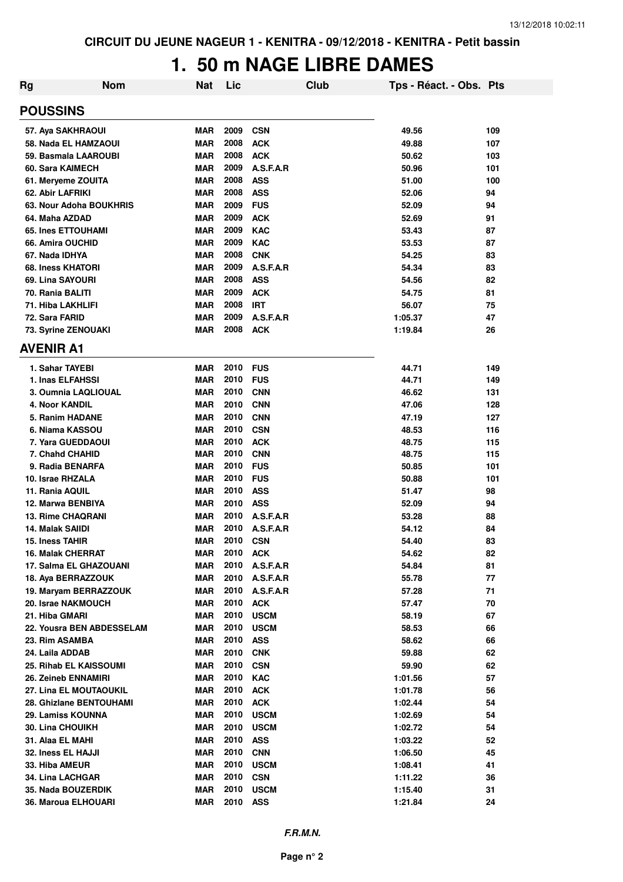## **1. 50 m NAGE LIBRE DAMES**

| <b>Rg</b>                 | <b>Nom</b> | Nat        | Lic  |             | <b>Club</b> | Tps - Réact. - Obs. Pts |     |
|---------------------------|------------|------------|------|-------------|-------------|-------------------------|-----|
| <b>POUSSINS</b>           |            |            |      |             |             |                         |     |
| 57. Aya SAKHRAOUI         |            | <b>MAR</b> | 2009 | <b>CSN</b>  |             | 49.56                   | 109 |
| 58. Nada EL HAMZAOUI      |            | <b>MAR</b> | 2008 | <b>ACK</b>  |             | 49.88                   | 107 |
| 59. Basmala LAAROUBI      |            | <b>MAR</b> | 2008 | <b>ACK</b>  |             | 50.62                   | 103 |
| 60. Sara KAIMECH          |            | <b>MAR</b> | 2009 | A.S.F.A.R   |             | 50.96                   | 101 |
| 61. Meryeme ZOUITA        |            | <b>MAR</b> | 2008 | <b>ASS</b>  |             | 51.00                   | 100 |
| 62. Abir LAFRIKI          |            | <b>MAR</b> | 2008 | <b>ASS</b>  |             | 52.06                   | 94  |
| 63. Nour Adoha BOUKHRIS   |            | <b>MAR</b> | 2009 | <b>FUS</b>  |             | 52.09                   | 94  |
| 64. Maha AZDAD            |            | <b>MAR</b> | 2009 | <b>ACK</b>  |             | 52.69                   | 91  |
| <b>65. Ines ETTOUHAMI</b> |            | <b>MAR</b> | 2009 | <b>KAC</b>  |             | 53.43                   | 87  |
| 66. Amira OUCHID          |            | <b>MAR</b> | 2009 | <b>KAC</b>  |             | 53.53                   | 87  |
| 67. Nada IDHYA            |            | <b>MAR</b> | 2008 | <b>CNK</b>  |             | 54.25                   | 83  |
| 68. Iness KHATORI         |            | <b>MAR</b> | 2009 | A.S.F.A.R   |             | 54.34                   | 83  |
| 69. Lina SAYOURI          |            | <b>MAR</b> | 2008 | <b>ASS</b>  |             | 54.56                   | 82  |
| 70. Rania BALITI          |            | <b>MAR</b> | 2009 | <b>ACK</b>  |             | 54.75                   | 81  |
| 71. Hiba LAKHLIFI         |            | <b>MAR</b> | 2008 | <b>IRT</b>  |             | 56.07                   | 75  |
| 72. Sara FARID            |            | <b>MAR</b> | 2009 | A.S.F.A.R   |             | 1:05.37                 | 47  |
| 73. Syrine ZENOUAKI       |            | <b>MAR</b> | 2008 | <b>ACK</b>  |             | 1:19.84                 | 26  |
| <b>AVENIR A1</b>          |            |            |      |             |             |                         |     |
| 1. Sahar TAYEBI           |            | <b>MAR</b> | 2010 | <b>FUS</b>  |             | 44.71                   | 149 |
| 1. Inas ELFAHSSI          |            | <b>MAR</b> | 2010 | <b>FUS</b>  |             | 44.71                   | 149 |
| 3. Oumnia LAQLIOUAL       |            | <b>MAR</b> | 2010 | <b>CNN</b>  |             | 46.62                   | 131 |
| <b>4. Noor KANDIL</b>     |            | <b>MAR</b> | 2010 | <b>CNN</b>  |             | 47.06                   | 128 |
| 5. Ranim HADANE           |            | <b>MAR</b> | 2010 | <b>CNN</b>  |             | 47.19                   | 127 |
| 6. Niama KASSOU           |            | <b>MAR</b> | 2010 | <b>CSN</b>  |             | 48.53                   | 116 |
| 7. Yara GUEDDAOUI         |            | <b>MAR</b> | 2010 | <b>ACK</b>  |             | 48.75                   | 115 |
| 7. Chahd CHAHID           |            | <b>MAR</b> | 2010 | <b>CNN</b>  |             | 48.75                   | 115 |
| 9. Radia BENARFA          |            | <b>MAR</b> | 2010 | <b>FUS</b>  |             | 50.85                   | 101 |
| 10. Israe RHZALA          |            | <b>MAR</b> | 2010 | <b>FUS</b>  |             | 50.88                   | 101 |
| 11. Rania AQUIL           |            | <b>MAR</b> | 2010 | <b>ASS</b>  |             | 51.47                   | 98  |
| 12. Marwa BENBIYA         |            | <b>MAR</b> | 2010 | <b>ASS</b>  |             | 52.09                   | 94  |
| <b>13. Rime CHAQRANI</b>  |            | <b>MAR</b> | 2010 | A.S.F.A.R   |             | 53.28                   | 88  |
| 14. Malak SAIIDI          |            | <b>MAR</b> | 2010 | A.S.F.A.R   |             | 54.12                   | 84  |
| <b>15. Iness TAHIR</b>    |            | <b>MAR</b> | 2010 | <b>CSN</b>  |             | 54.40                   | 83  |
| <b>16. Malak CHERRAT</b>  |            | <b>MAR</b> | 2010 | <b>ACK</b>  |             | 54.62                   | 82  |
| 17. Salma EL GHAZOUANI    |            | <b>MAR</b> | 2010 | A.S.F.A.R   |             | 54.84                   | 81  |
| 18. Aya BERRAZZOUK        |            | <b>MAR</b> | 2010 | A.S.F.A.R   |             | 55.78                   | 77  |
| 19. Maryam BERRAZZOUK     |            | <b>MAR</b> | 2010 | A.S.F.A.R   |             | 57.28                   | 71  |
| 20. Israe NAKMOUCH        |            | <b>MAR</b> | 2010 | <b>ACK</b>  |             | 57.47                   | 70  |
| 21. Hiba GMARI            |            | <b>MAR</b> | 2010 | <b>USCM</b> |             | 58.19                   | 67  |
| 22. Yousra BEN ABDESSELAM |            | <b>MAR</b> | 2010 | <b>USCM</b> |             | 58.53                   | 66  |
| 23. Rim ASAMBA            |            | <b>MAR</b> | 2010 | <b>ASS</b>  |             | 58.62                   | 66  |
| 24. Laila ADDAB           |            | <b>MAR</b> | 2010 | <b>CNK</b>  |             | 59.88                   | 62  |
| 25. Rihab EL KAISSOUMI    |            | MAR        | 2010 | <b>CSN</b>  |             | 59.90                   | 62  |
| 26. Zeineb ENNAMIRI       |            | <b>MAR</b> | 2010 | <b>KAC</b>  |             | 1:01.56                 | 57  |
| 27. Lina EL MOUTAOUKIL    |            | <b>MAR</b> | 2010 | <b>ACK</b>  |             | 1:01.78                 | 56  |
| 28. Ghizlane BENTOUHAMI   |            | <b>MAR</b> | 2010 | <b>ACK</b>  |             | 1:02.44                 | 54  |
| 29. Lamiss KOUNNA         |            | <b>MAR</b> | 2010 | <b>USCM</b> |             | 1:02.69                 | 54  |
| 30. Lina CHOUIKH          |            | <b>MAR</b> | 2010 | <b>USCM</b> |             | 1:02.72                 | 54  |
| 31. Alaa EL MAHI          |            | MAR        | 2010 | <b>ASS</b>  |             | 1:03.22                 | 52  |
| 32. Iness EL HAJJI        |            | <b>MAR</b> | 2010 | <b>CNN</b>  |             | 1:06.50                 | 45  |
| 33. Hiba AMEUR            |            | <b>MAR</b> | 2010 | <b>USCM</b> |             | 1:08.41                 | 41  |
| 34. Lina LACHGAR          |            | <b>MAR</b> | 2010 | <b>CSN</b>  |             | 1:11.22                 | 36  |
| 35. Nada BOUZERDIK        |            | <b>MAR</b> | 2010 | <b>USCM</b> |             | 1:15.40                 | 31  |
| 36. Maroua ELHOUARI       |            | <b>MAR</b> | 2010 | <b>ASS</b>  |             | 1:21.84                 | 24  |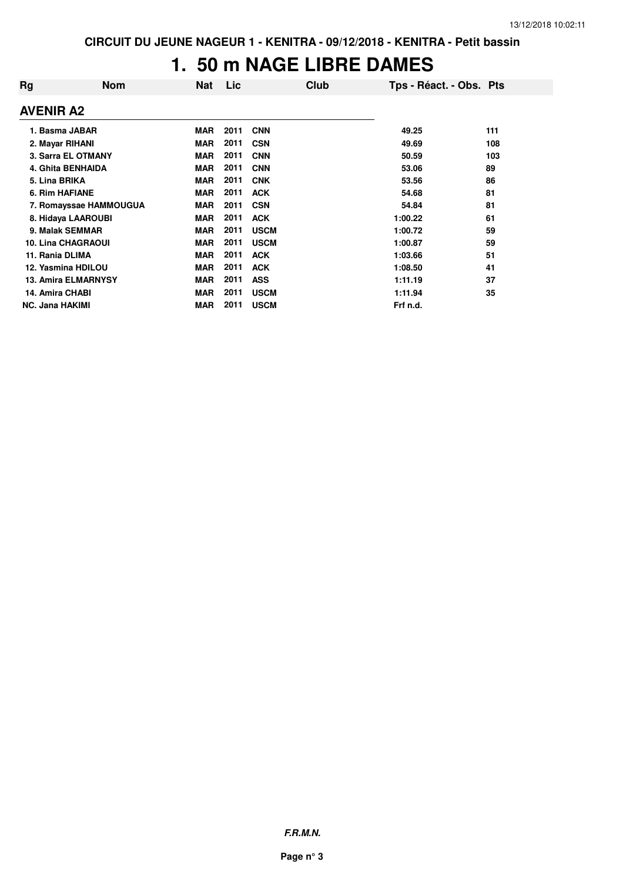## **1. 50 m NAGE LIBRE DAMES**

| Rg                     | <b>Nom</b>                 | Nat        | Lic  | <b>Club</b> | Tps - Réact. - Obs. Pts |     |
|------------------------|----------------------------|------------|------|-------------|-------------------------|-----|
| <b>AVENIR A2</b>       |                            |            |      |             |                         |     |
| 1. Basma JABAR         |                            | <b>MAR</b> | 2011 | <b>CNN</b>  | 49.25                   | 111 |
| 2. Mayar RIHANI        |                            | <b>MAR</b> | 2011 | <b>CSN</b>  | 49.69                   | 108 |
|                        | 3. Sarra EL OTMANY         | <b>MAR</b> | 2011 | <b>CNN</b>  | 50.59                   | 103 |
|                        | 4. Ghita BENHAIDA          | <b>MAR</b> | 2011 | <b>CNN</b>  | 53.06                   | 89  |
| 5. Lina BRIKA          |                            | <b>MAR</b> | 2011 | <b>CNK</b>  | 53.56                   | 86  |
| <b>6. Rim HAFIANE</b>  |                            | <b>MAR</b> | 2011 | <b>ACK</b>  | 54.68                   | 81  |
|                        | 7. Romayssae HAMMOUGUA     | <b>MAR</b> | 2011 | <b>CSN</b>  | 54.84                   | 81  |
|                        | 8. Hidaya LAAROUBI         | <b>MAR</b> | 2011 | <b>ACK</b>  | 1:00.22                 | 61  |
| 9. Malak SEMMAR        |                            | <b>MAR</b> | 2011 | <b>USCM</b> | 1:00.72                 | 59  |
|                        | <b>10. Lina CHAGRAOUI</b>  | <b>MAR</b> | 2011 | <b>USCM</b> | 1:00.87                 | 59  |
| 11. Rania DLIMA        |                            | <b>MAR</b> | 2011 | <b>ACK</b>  | 1:03.66                 | 51  |
| 12. Yasmina HDILOU     |                            | <b>MAR</b> | 2011 | <b>ACK</b>  | 1:08.50                 | 41  |
|                        | <b>13. Amira ELMARNYSY</b> | <b>MAR</b> | 2011 | <b>ASS</b>  | 1:11.19                 | 37  |
| 14. Amira CHABI        |                            | <b>MAR</b> | 2011 | <b>USCM</b> | 1:11.94                 | 35  |
| <b>NC. Jana HAKIMI</b> |                            | <b>MAR</b> | 2011 | <b>USCM</b> | Frf n.d.                |     |

**F.R.M.N.**

**Page n° 3**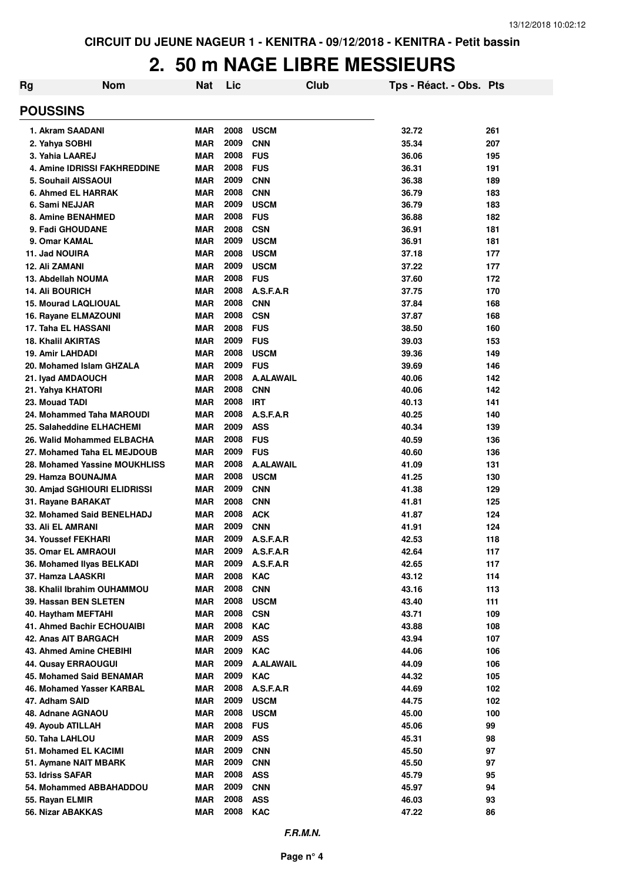#### **2. 50 m NAGE LIBRE MESSIEURS**

| Rg                                               | <b>Nom</b> | <b>Nat</b> | Lic          |                          | Club | Tps - Réact. - Obs. Pts |            |
|--------------------------------------------------|------------|------------|--------------|--------------------------|------|-------------------------|------------|
| <b>POUSSINS</b>                                  |            |            |              |                          |      |                         |            |
| 1. Akram SAADANI                                 |            | <b>MAR</b> | 2008         | <b>USCM</b>              |      | 32.72                   | 261        |
| 2. Yahya SOBHI                                   |            | <b>MAR</b> | 2009         | <b>CNN</b>               |      | 35.34                   | 207        |
| 3. Yahia LAAREJ                                  |            | <b>MAR</b> | 2008         | <b>FUS</b>               |      | 36.06                   | 195        |
| <b>4. Amine IDRISSI FAKHREDDINE</b>              |            | <b>MAR</b> | 2008         | <b>FUS</b>               |      | 36.31                   | 191        |
| 5. Souhail AISSAOUI                              |            | <b>MAR</b> | 2009         | <b>CNN</b>               |      | 36.38                   | 189        |
| 6. Ahmed EL HARRAK                               |            | <b>MAR</b> | 2008         | <b>CNN</b>               |      | 36.79                   | 183        |
| 6. Sami NEJJAR                                   |            | <b>MAR</b> | 2009         | <b>USCM</b>              |      | 36.79                   | 183        |
| 8. Amine BENAHMED                                |            | <b>MAR</b> | 2008         | <b>FUS</b>               |      | 36.88                   | 182        |
| 9. Fadi GHOUDANE                                 |            | <b>MAR</b> | 2008         | <b>CSN</b>               |      | 36.91                   | 181        |
| 9. Omar KAMAL                                    |            | <b>MAR</b> | 2009         | <b>USCM</b>              |      | 36.91                   | 181        |
| 11. Jad NOUIRA                                   |            | <b>MAR</b> | 2008         | <b>USCM</b>              |      | 37.18                   | 177        |
| 12. Ali ZAMANI                                   |            | <b>MAR</b> | 2009         | <b>USCM</b>              |      | 37.22                   | 177        |
| 13. Abdellah NOUMA                               |            | <b>MAR</b> | 2008         | <b>FUS</b>               |      | 37.60                   | 172        |
| <b>14. Ali BOURICH</b>                           |            | <b>MAR</b> | 2008         | A.S.F.A.R                |      | 37.75                   | 170        |
| <b>15. Mourad LAQLIOUAL</b>                      |            | <b>MAR</b> | 2008         | <b>CNN</b>               |      | 37.84                   | 168        |
| 16. Rayane ELMAZOUNI                             |            | <b>MAR</b> | 2008         | <b>CSN</b>               |      | 37.87                   | 168        |
| 17. Taha EL HASSANI                              |            | <b>MAR</b> | 2008         | <b>FUS</b>               |      | 38.50                   | 160        |
| <b>18. Khalil AKIRTAS</b>                        |            | <b>MAR</b> | 2009         | <b>FUS</b>               |      | 39.03                   | 153        |
| 19. Amir LAHDADI                                 |            | <b>MAR</b> | 2008         | <b>USCM</b>              |      | 39.36                   | 149        |
| 20. Mohamed Islam GHZALA                         |            | <b>MAR</b> | 2009         | <b>FUS</b>               |      | 39.69                   | 146        |
| 21. Iyad AMDAOUCH                                |            | <b>MAR</b> | 2008         | <b>A.ALAWAIL</b>         |      | 40.06                   | 142        |
| 21. Yahya KHATORI                                |            | <b>MAR</b> | 2008         | <b>CNN</b>               |      | 40.06                   | 142        |
| 23. Mouad TADI                                   |            | <b>MAR</b> | 2008         | <b>IRT</b>               |      | 40.13                   | 141        |
| 24. Mohammed Taha MAROUDI                        |            | <b>MAR</b> | 2008         | A.S.F.A.R                |      | 40.25                   | 140        |
| 25. Salaheddine ELHACHEMI                        |            | <b>MAR</b> | 2009         | <b>ASS</b>               |      | 40.34                   | 139        |
| 26. Walid Mohammed ELBACHA                       |            | <b>MAR</b> | 2008         | <b>FUS</b>               |      | 40.59                   | 136        |
| 27. Mohamed Taha EL MEJDOUB                      |            | <b>MAR</b> | 2009         | <b>FUS</b>               |      | 40.60                   | 136        |
| 28. Mohamed Yassine MOUKHLISS                    |            | <b>MAR</b> | 2008         | <b>A.ALAWAIL</b>         |      | 41.09                   | 131        |
| 29. Hamza BOUNAJMA                               |            | <b>MAR</b> | 2008<br>2009 | <b>USCM</b>              |      | 41.25                   | 130        |
| 30. Amjad SGHIOURI ELIDRISSI                     |            | MAR        | 2008         | <b>CNN</b>               |      | 41.38                   | 129        |
| 31. Rayane BARAKAT<br>32. Mohamed Said BENELHADJ |            | MAR        | 2008         | <b>CNN</b><br><b>ACK</b> |      | 41.81                   | 125<br>124 |
| 33. Ali EL AMRANI                                |            | MAR<br>MAR | 2009         | <b>CNN</b>               |      | 41.87<br>41.91          | 124        |
| 34. Youssef FEKHARI                              |            | <b>MAR</b> | 2009         | A.S.F.A.R                |      | 42.53                   | 118        |
| 35. Omar EL AMRAOUI                              |            | MAR        | 2009         | A.S.F.A.R                |      | 42.64                   | 117        |
| 36. Mohamed Ilyas BELKADI                        |            | <b>MAR</b> | 2009         | A.S.F.A.R                |      | 42.65                   | 117        |
| 37. Hamza LAASKRI                                |            | <b>MAR</b> | 2008         | <b>KAC</b>               |      | 43.12                   | 114        |
| 38. Khalil Ibrahim OUHAMMOU                      |            | MAR        | 2008         | <b>CNN</b>               |      | 43.16                   | 113        |
| 39. Hassan BEN SLETEN                            |            | MAR        | 2008         | <b>USCM</b>              |      | 43.40                   | 111        |
| 40. Haytham MEFTAHI                              |            | MAR        | 2008         | <b>CSN</b>               |      | 43.71                   | 109        |
| <b>41. Ahmed Bachir ECHOUAIBI</b>                |            | <b>MAR</b> | 2008         | <b>KAC</b>               |      | 43.88                   | 108        |
| 42. Anas AIT BARGACH                             |            | <b>MAR</b> | 2009         | <b>ASS</b>               |      | 43.94                   | 107        |
| 43. Ahmed Amine CHEBIHI                          |            | <b>MAR</b> | 2009         | <b>KAC</b>               |      | 44.06                   | 106        |
| 44. Qusay ERRAOUGUI                              |            | <b>MAR</b> | 2009         | <b>A.ALAWAIL</b>         |      | 44.09                   | 106        |
| 45. Mohamed Said BENAMAR                         |            | <b>MAR</b> | 2009         | <b>KAC</b>               |      | 44.32                   | 105        |
| 46. Mohamed Yasser KARBAL                        |            | <b>MAR</b> | 2008         | A.S.F.A.R                |      | 44.69                   | 102        |
| 47. Adham SAID                                   |            | <b>MAR</b> | 2009         | <b>USCM</b>              |      | 44.75                   | 102        |
| 48. Adnane AGNAOU                                |            | <b>MAR</b> | 2008         | <b>USCM</b>              |      | 45.00                   | 100        |
| 49. Ayoub ATILLAH                                |            | <b>MAR</b> | 2008         | <b>FUS</b>               |      | 45.06                   | 99         |
| 50. Taha LAHLOU                                  |            | <b>MAR</b> | 2009         | <b>ASS</b>               |      | 45.31                   | 98         |
| 51. Mohamed EL KACIMI                            |            | MAR        | 2009         | <b>CNN</b>               |      | 45.50                   | 97         |
| 51. Aymane NAIT MBARK                            |            | <b>MAR</b> | 2009         | <b>CNN</b>               |      | 45.50                   | 97         |
| 53. Idriss SAFAR                                 |            | <b>MAR</b> | 2008         | ASS                      |      | 45.79                   | 95         |
| 54. Mohammed ABBAHADDOU                          |            | <b>MAR</b> | 2009         | <b>CNN</b>               |      | 45.97                   | 94         |
| 55. Rayan ELMIR                                  |            | <b>MAR</b> | 2008         | <b>ASS</b>               |      | 46.03                   | 93         |
| 56. Nizar ABAKKAS                                |            | <b>MAR</b> | 2008         | <b>KAC</b>               |      | 47.22                   | 86         |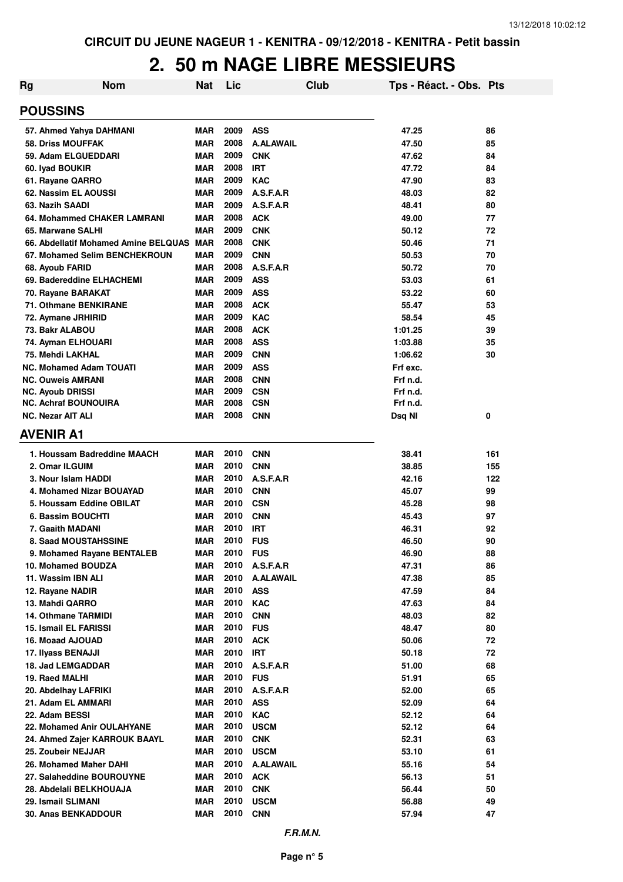#### **2. 50 m NAGE LIBRE MESSIEURS**

| Rg | <b>Nom</b>                                             | <b>Nat</b>               | Lic          |                          | Club | Tps - Réact. - Obs. Pts |          |
|----|--------------------------------------------------------|--------------------------|--------------|--------------------------|------|-------------------------|----------|
|    | <b>POUSSINS</b>                                        |                          |              |                          |      |                         |          |
|    | 57. Ahmed Yahya DAHMANI                                | <b>MAR</b>               | 2009         | <b>ASS</b>               |      | 47.25                   | 86       |
|    | <b>58. Driss MOUFFAK</b>                               | <b>MAR</b>               | 2008         | <b>A.ALAWAIL</b>         |      | 47.50                   | 85       |
|    | 59. Adam ELGUEDDARI                                    | <b>MAR</b>               | 2009         | <b>CNK</b>               |      | 47.62                   | 84       |
|    | 60. Iyad BOUKIR                                        | <b>MAR</b>               | 2008         | <b>IRT</b>               |      | 47.72                   | 84       |
|    | 61. Rayane QARRO                                       | <b>MAR</b>               | 2009         | <b>KAC</b>               |      | 47.90                   | 83       |
|    | 62. Nassim EL AOUSSI                                   | <b>MAR</b>               | 2009         | A.S.F.A.R                |      | 48.03                   | 82       |
|    | 63. Nazih SAADI                                        | <b>MAR</b>               | 2009         | A.S.F.A.R                |      | 48.41                   | 80       |
|    | 64. Mohammed CHAKER LAMRANI                            | <b>MAR</b>               | 2008         | <b>ACK</b>               |      | 49.00                   | 77       |
|    | 65. Marwane SALHI                                      | <b>MAR</b>               | 2009         | <b>CNK</b>               |      | 50.12                   | 72       |
|    | 66. Abdellatif Mohamed Amine BELQUAS MAR               |                          | 2008         | <b>CNK</b>               |      | 50.46                   | 71       |
|    | 67. Mohamed Selim BENCHEKROUN                          | <b>MAR</b>               | 2009         | <b>CNN</b>               |      | 50.53                   | 70       |
|    | 68. Ayoub FARID                                        | <b>MAR</b>               | 2008         | A.S.F.A.R                |      | 50.72                   | 70       |
|    | 69. Badereddine ELHACHEMI                              | <b>MAR</b>               | 2009         | <b>ASS</b>               |      | 53.03                   | 61       |
|    | 70. Rayane BARAKAT                                     | <b>MAR</b>               | 2009         | <b>ASS</b>               |      | 53.22                   | 60       |
|    | 71. Othmane BENKIRANE                                  | <b>MAR</b>               | 2008         | <b>ACK</b>               |      | 55.47                   | 53       |
|    | 72. Aymane JRHIRID                                     | <b>MAR</b>               | 2009         | <b>KAC</b>               |      | 58.54                   | 45       |
|    | 73. Bakr ALABOU                                        | MAR                      | 2008         | <b>ACK</b>               |      | 1:01.25                 | 39       |
|    | 74. Ayman ELHOUARI                                     | <b>MAR</b>               | 2008         | <b>ASS</b>               |      | 1:03.88                 | 35       |
|    | 75. Mehdi LAKHAL                                       | <b>MAR</b>               | 2009         | <b>CNN</b>               |      | 1:06.62                 | 30       |
|    | <b>NC. Mohamed Adam TOUATI</b>                         | <b>MAR</b>               | 2009         | <b>ASS</b>               |      | Frf exc.                |          |
|    | <b>NC. Ouweis AMRANI</b>                               | <b>MAR</b>               | 2008         | <b>CNN</b>               |      | Frf n.d.                |          |
|    | <b>NC. Ayoub DRISSI</b><br><b>NC. Achraf BOUNOUIRA</b> | <b>MAR</b><br><b>MAR</b> | 2009<br>2008 | <b>CSN</b><br><b>CSN</b> |      | Frf n.d.<br>Frf n.d.    |          |
|    | <b>NC. Nezar AIT ALI</b>                               | MAR                      | 2008         | <b>CNN</b>               |      | Dsq NI                  | 0        |
|    |                                                        |                          |              |                          |      |                         |          |
|    | <b>AVENIR A1</b>                                       |                          |              |                          |      |                         |          |
|    | 1. Houssam Badreddine MAACH                            | MAR                      | 2010         | <b>CNN</b>               |      | 38.41                   | 161      |
|    | 2. Omar ILGUIM                                         | <b>MAR</b>               | 2010         | <b>CNN</b>               |      | 38.85                   | 155      |
|    | 3. Nour Islam HADDI                                    | <b>MAR</b>               | 2010         | A.S.F.A.R                |      | 42.16                   | 122      |
|    | 4. Mohamed Nizar BOUAYAD                               | <b>MAR</b>               | 2010         | <b>CNN</b>               |      | 45.07                   | 99       |
|    | 5. Houssam Eddine OBILAT                               | <b>MAR</b>               | 2010         | <b>CSN</b>               |      | 45.28                   | 98       |
|    | 6. Bassim BOUCHTI                                      | <b>MAR</b>               | 2010         | <b>CNN</b>               |      | 45.43                   | 97       |
|    | 7. Gaaith MADANI                                       | MAR                      | 2010         | IRT                      |      | 46.31                   | 92       |
|    | 8. Saad MOUSTAHSSINE                                   | <b>MAR</b>               | 2010         | <b>FUS</b>               |      | 46.50                   | 90       |
|    | 9. Mohamed Rayane BENTALEB                             | <b>MAR</b>               | 2010         | <b>FUS</b>               |      | 46.90                   | 88       |
|    | 10. Mohamed BOUDZA                                     | MAR                      | 2010         | A.S.F.A.R                |      | 47.31                   | 86       |
|    | 11. Wassim IBN ALI                                     | <b>MAR</b>               | 2010         | <b>A.ALAWAIL</b>         |      | 47.38                   | 85       |
|    | 12. Rayane NADIR                                       | MAR                      | 2010         | <b>ASS</b>               |      | 47.59                   | 84       |
|    | 13. Mahdi QARRO                                        | <b>MAR</b>               | 2010         | <b>KAC</b>               |      | 47.63                   | 84       |
|    | <b>14. Othmane TARMIDI</b>                             | <b>MAR</b>               | 2010         | <b>CNN</b>               |      | 48.03                   | 82       |
|    | <b>15. Ismail EL FARISSI</b>                           | <b>MAR</b>               | 2010         | <b>FUS</b>               |      | 48.47                   | 80       |
|    | 16. Moaad AJOUAD                                       | <b>MAR</b>               | 2010         | <b>ACK</b>               |      | 50.06                   | 72       |
|    | 17. Ilyass BENAJJI                                     | MAR                      | 2010         | <b>IRT</b>               |      | 50.18                   | 72       |
|    | 18. Jad LEMGADDAR                                      | <b>MAR</b>               | 2010         | A.S.F.A.R                |      | 51.00                   | 68       |
|    | 19. Raed MALHI                                         | <b>MAR</b>               | 2010         | <b>FUS</b>               |      | 51.91                   | 65       |
|    | 20. Abdelhay LAFRIKI                                   | <b>MAR</b>               | 2010<br>2010 | A.S.F.A.R                |      | 52.00                   | 65       |
|    | 21. Adam EL AMMARI<br>22. Adam BESSI                   | <b>MAR</b><br><b>MAR</b> | 2010         | <b>ASS</b><br><b>KAC</b> |      | 52.09<br>52.12          | 64<br>64 |
|    | 22. Mohamed Anir OULAHYANE                             | <b>MAR</b>               | 2010         | <b>USCM</b>              |      | 52.12                   | 64       |
|    | 24. Ahmed Zajer KARROUK BAAYL                          | MAR                      | 2010         | <b>CNK</b>               |      | 52.31                   | 63       |
|    | 25. Zoubeir NEJJAR                                     | <b>MAR</b>               | 2010         | <b>USCM</b>              |      | 53.10                   | 61       |
|    | 26. Mohamed Maher DAHI                                 | <b>MAR</b>               | 2010         | <b>A.ALAWAIL</b>         |      | 55.16                   | 54       |
|    | 27. Salaheddine BOUROUYNE                              | <b>MAR</b>               | 2010         | <b>ACK</b>               |      | 56.13                   | 51       |
|    | 28. Abdelali BELKHOUAJA                                | <b>MAR</b>               | 2010         | <b>CNK</b>               |      | 56.44                   | 50       |
|    | 29. Ismail SLIMANI                                     | MAR                      | 2010         | <b>USCM</b>              |      | 56.88                   | 49       |
|    | 30. Anas BENKADDOUR                                    | <b>MAR</b>               | 2010         | <b>CNN</b>               |      | 57.94                   | 47       |
|    |                                                        |                          |              |                          |      |                         |          |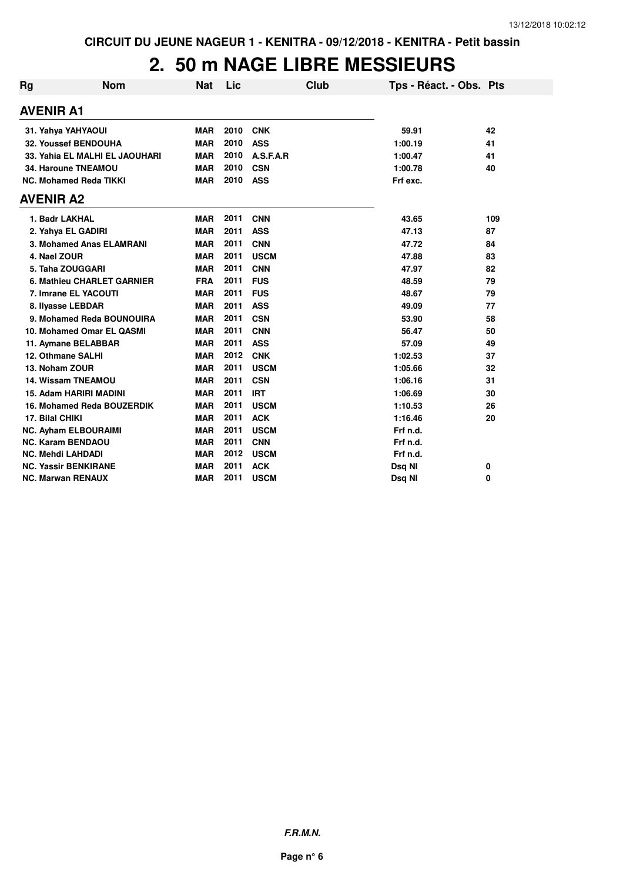#### **2. 50 m NAGE LIBRE MESSIEURS**

| <b>Rg</b> | <b>Nom</b>                     | <b>Nat</b> | Lic  | <b>Club</b> | Tps - Réact. - Obs. Pts |             |
|-----------|--------------------------------|------------|------|-------------|-------------------------|-------------|
|           | <b>AVENIR A1</b>               |            |      |             |                         |             |
|           | 31. Yahya YAHYAOUI             | <b>MAR</b> | 2010 | <b>CNK</b>  | 59.91                   | 42          |
|           | 32. Youssef BENDOUHA           | <b>MAR</b> | 2010 | <b>ASS</b>  | 1:00.19                 | 41          |
|           | 33. Yahia EL MALHI EL JAOUHARI | <b>MAR</b> | 2010 | A.S.F.A.R   | 1:00.47                 | 41          |
|           | 34. Haroune TNEAMOU            | <b>MAR</b> | 2010 | <b>CSN</b>  | 1:00.78                 | 40          |
|           | <b>NC. Mohamed Reda TIKKI</b>  | <b>MAR</b> | 2010 | <b>ASS</b>  | Frf exc.                |             |
|           | <b>AVENIR A2</b>               |            |      |             |                         |             |
|           | 1. Badr LAKHAL                 | <b>MAR</b> | 2011 | <b>CNN</b>  | 43.65                   | 109         |
|           | 2. Yahya EL GADIRI             | <b>MAR</b> | 2011 | <b>ASS</b>  | 47.13                   | 87          |
|           | 3. Mohamed Anas ELAMRANI       | <b>MAR</b> | 2011 | <b>CNN</b>  | 47.72                   | 84          |
|           | 4. Nael ZOUR                   | <b>MAR</b> | 2011 | <b>USCM</b> | 47.88                   | 83          |
|           | 5. Taha ZOUGGARI               | <b>MAR</b> | 2011 | <b>CNN</b>  | 47.97                   | 82          |
|           | 6. Mathieu CHARLET GARNIER     | <b>FRA</b> | 2011 | <b>FUS</b>  | 48.59                   | 79          |
|           | 7. Imrane EL YACOUTI           | <b>MAR</b> | 2011 | <b>FUS</b>  | 48.67                   | 79          |
|           | 8. Ilyasse LEBDAR              | <b>MAR</b> | 2011 | <b>ASS</b>  | 49.09                   | 77          |
|           | 9. Mohamed Reda BOUNOUIRA      | <b>MAR</b> | 2011 | <b>CSN</b>  | 53.90                   | 58          |
|           | 10. Mohamed Omar EL QASMI      | <b>MAR</b> | 2011 | <b>CNN</b>  | 56.47                   | 50          |
|           | 11. Aymane BELABBAR            | <b>MAR</b> | 2011 | <b>ASS</b>  | 57.09                   | 49          |
|           | 12. Othmane SALHI              | <b>MAR</b> | 2012 | <b>CNK</b>  | 1:02.53                 | 37          |
|           | 13. Noham ZOUR                 | <b>MAR</b> | 2011 | <b>USCM</b> | 1:05.66                 | 32          |
|           | <b>14. Wissam TNEAMOU</b>      | <b>MAR</b> | 2011 | <b>CSN</b>  | 1:06.16                 | 31          |
|           | 15. Adam HARIRI MADINI         | <b>MAR</b> | 2011 | <b>IRT</b>  | 1:06.69                 | 30          |
|           | 16. Mohamed Reda BOUZERDIK     | <b>MAR</b> | 2011 | <b>USCM</b> | 1:10.53                 | 26          |
|           | 17. Bilal CHIKI                | <b>MAR</b> | 2011 | <b>ACK</b>  | 1:16.46                 | 20          |
|           | <b>NC. Ayham ELBOURAIMI</b>    | <b>MAR</b> | 2011 | <b>USCM</b> | Frf n.d.                |             |
|           | <b>NC. Karam BENDAOU</b>       | <b>MAR</b> | 2011 | <b>CNN</b>  | Frf n.d.                |             |
|           | <b>NC. Mehdi LAHDADI</b>       | <b>MAR</b> | 2012 | <b>USCM</b> | Frf n.d.                |             |
|           | <b>NC. Yassir BENKIRANE</b>    | <b>MAR</b> | 2011 | <b>ACK</b>  | Dsq NI                  | 0           |
|           | <b>NC. Marwan RENAUX</b>       | <b>MAR</b> | 2011 | <b>USCM</b> | Dsq NI                  | $\mathbf 0$ |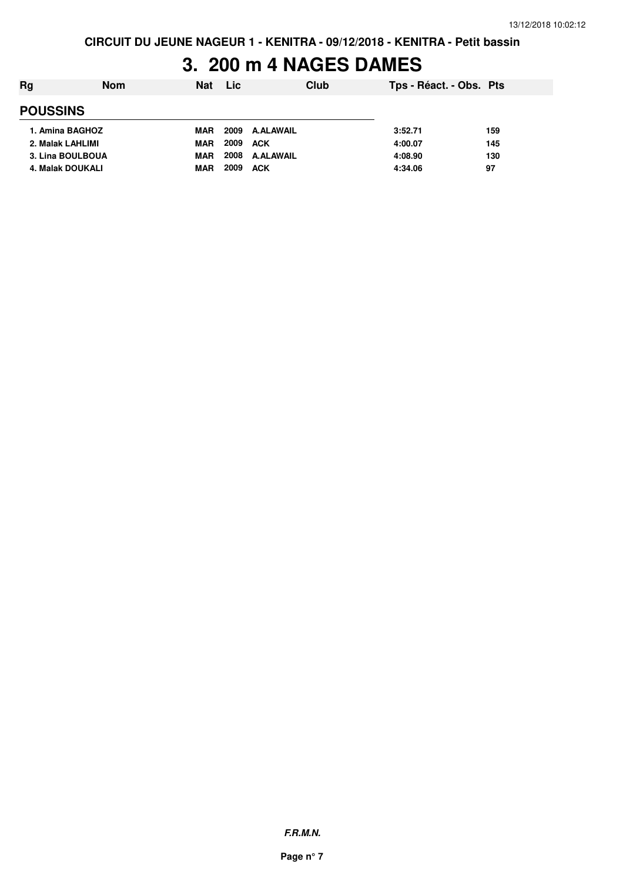## **3. 200 m 4 NAGES DAMES**

| Rg               | <b>Nom</b> | <b>Nat</b> | Lic  |                  | Club | Tps - Réact. - Obs. Pts |     |  |
|------------------|------------|------------|------|------------------|------|-------------------------|-----|--|
| <b>POUSSINS</b>  |            |            |      |                  |      |                         |     |  |
| 1. Amina BAGHOZ  |            | <b>MAR</b> | 2009 | A.ALAWAIL        |      | 3:52.71                 | 159 |  |
| 2. Malak LAHLIMI |            | MAR        | 2009 | <b>ACK</b>       |      | 4:00.07                 | 145 |  |
| 3. Lina BOULBOUA |            | <b>MAR</b> | 2008 | <b>A.ALAWAIL</b> |      | 4:08.90                 | 130 |  |
| 4. Malak DOUKALI |            | MAR        | 2009 | <b>ACK</b>       |      | 4:34.06                 | 97  |  |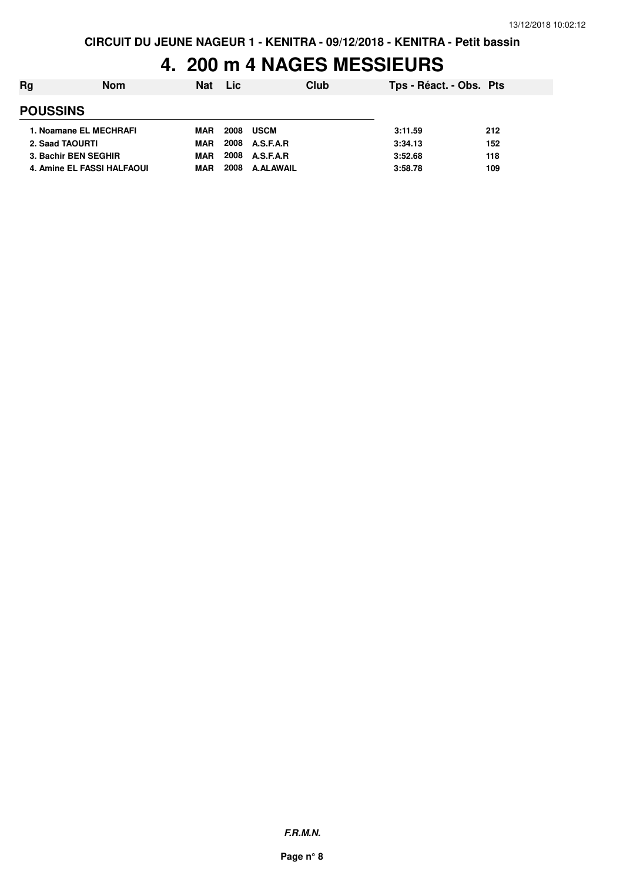## **4. 200 m 4 NAGES MESSIEURS**

| Rg                     | <b>Nom</b>                 | Nat        | Lic  | Club             | Tps - Réact. - Obs. Pts |     |
|------------------------|----------------------------|------------|------|------------------|-------------------------|-----|
| <b>POUSSINS</b>        |                            |            |      |                  |                         |     |
| 1. Noamane EL MECHRAFI |                            | MAR        | 2008 | USCM             | 3:11.59                 | 212 |
| 2. Saad TAOURTI        |                            | <b>MAR</b> |      | 2008 A.S.F.A.R   | 3:34.13                 | 152 |
| 3. Bachir BEN SEGHIR   |                            | <b>MAR</b> |      | 2008 A.S.F.A.R   | 3:52.68                 | 118 |
|                        | 4. Amine EL FASSI HALFAOUI | <b>MAR</b> | 2008 | <b>A.ALAWAIL</b> | 3:58.78                 | 109 |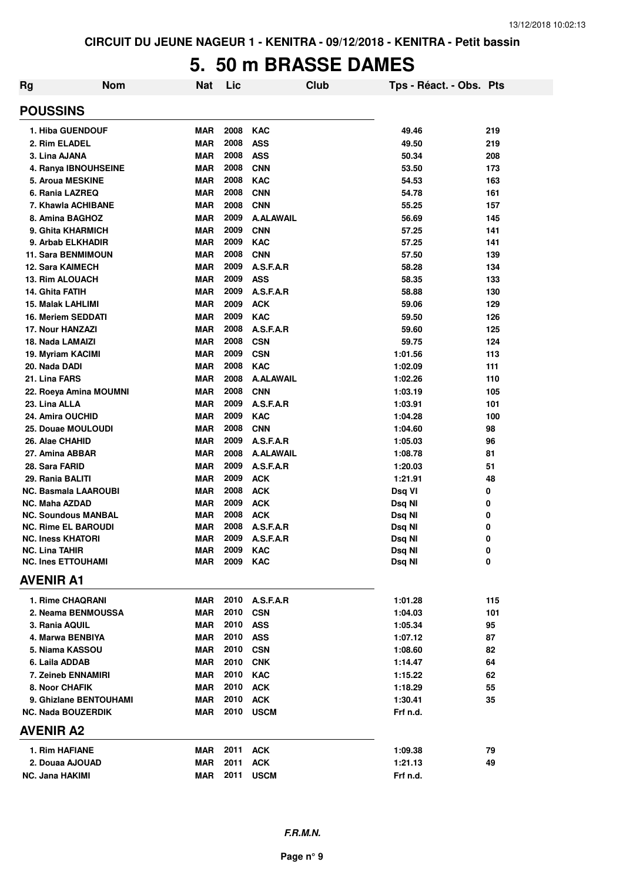## **5. 50 m BRASSE DAMES**

| Rg                    | <b>Nom</b>                  | <b>Nat</b> | Lic  |                  | Club | Tps - Réact. - Obs. Pts |     |
|-----------------------|-----------------------------|------------|------|------------------|------|-------------------------|-----|
| <b>POUSSINS</b>       |                             |            |      |                  |      |                         |     |
|                       | <b>1. Hiba GUENDOUF</b>     | <b>MAR</b> | 2008 | <b>KAC</b>       |      | 49.46                   | 219 |
|                       | 2. Rim ELADEL               | <b>MAR</b> | 2008 | <b>ASS</b>       |      | 49.50                   | 219 |
|                       | 3. Lina AJANA               | <b>MAR</b> | 2008 | <b>ASS</b>       |      | 50.34                   | 208 |
|                       | 4. Ranya IBNOUHSEINE        | <b>MAR</b> | 2008 | <b>CNN</b>       |      | 53.50                   | 173 |
|                       | 5. Aroua MESKINE            | <b>MAR</b> | 2008 | <b>KAC</b>       |      | 54.53                   | 163 |
|                       | 6. Rania LAZREQ             | <b>MAR</b> | 2008 | <b>CNN</b>       |      | 54.78                   | 161 |
|                       | 7. Khawla ACHIBANE          | <b>MAR</b> | 2008 | <b>CNN</b>       |      | 55.25                   | 157 |
|                       | 8. Amina BAGHOZ             | <b>MAR</b> | 2009 | <b>A.ALAWAIL</b> |      | 56.69                   | 145 |
|                       | 9. Ghita KHARMICH           | <b>MAR</b> | 2009 | <b>CNN</b>       |      | 57.25                   | 141 |
|                       | 9. Arbab ELKHADIR           | <b>MAR</b> | 2009 | <b>KAC</b>       |      | 57.25                   | 141 |
|                       | <b>11. Sara BENMIMOUN</b>   | <b>MAR</b> | 2008 | <b>CNN</b>       |      | 57.50                   | 139 |
|                       | <b>12. Sara KAIMECH</b>     | <b>MAR</b> | 2009 | A.S.F.A.R        |      | 58.28                   | 134 |
|                       | 13. Rim ALOUACH             | <b>MAR</b> | 2009 | <b>ASS</b>       |      | 58.35                   | 133 |
|                       | 14. Ghita FATIH             | <b>MAR</b> | 2009 | A.S.F.A.R        |      | 58.88                   | 130 |
|                       | 15. Malak LAHLIMI           | <b>MAR</b> | 2009 | <b>ACK</b>       |      | 59.06                   | 129 |
|                       | 16. Meriem SEDDATI          | <b>MAR</b> | 2009 | <b>KAC</b>       |      | 59.50                   | 126 |
|                       | <b>17. Nour HANZAZI</b>     | <b>MAR</b> | 2008 | A.S.F.A.R        |      | 59.60                   | 125 |
|                       | 18. Nada LAMAIZI            | <b>MAR</b> | 2008 | <b>CSN</b>       |      | 59.75                   | 124 |
|                       | 19. Myriam KACIMI           | <b>MAR</b> | 2009 | <b>CSN</b>       |      | 1:01.56                 | 113 |
|                       | 20. Nada DADI               | <b>MAR</b> | 2008 | <b>KAC</b>       |      | 1:02.09                 | 111 |
|                       | 21. Lina FARS               | <b>MAR</b> | 2008 | <b>A.ALAWAIL</b> |      | 1:02.26                 | 110 |
|                       | 22. Roeya Amina MOUMNI      | <b>MAR</b> | 2008 | <b>CNN</b>       |      | 1:03.19                 | 105 |
| 23. Lina ALLA         |                             | <b>MAR</b> | 2009 | A.S.F.A.R        |      | 1:03.91                 | 101 |
|                       | 24. Amira OUCHID            | <b>MAR</b> | 2009 | <b>KAC</b>       |      | 1:04.28                 | 100 |
|                       | 25. Douae MOULOUDI          | <b>MAR</b> | 2008 | <b>CNN</b>       |      | 1:04.60                 | 98  |
|                       | 26. Alae CHAHID             | <b>MAR</b> | 2009 | A.S.F.A.R        |      | 1:05.03                 | 96  |
|                       | 27. Amina ABBAR             | <b>MAR</b> | 2008 | <b>A.ALAWAIL</b> |      | 1:08.78                 | 81  |
|                       | 28. Sara FARID              | <b>MAR</b> | 2009 | A.S.F.A.R        |      | 1:20.03                 | 51  |
|                       | 29. Rania BALITI            | <b>MAR</b> | 2009 | <b>ACK</b>       |      | 1:21.91                 | 48  |
|                       | <b>NC. Basmala LAAROUBI</b> | <b>MAR</b> | 2008 | <b>ACK</b>       |      | Dsq VI                  | 0   |
|                       | <b>NC. Maha AZDAD</b>       | <b>MAR</b> | 2009 | <b>ACK</b>       |      | Dsq NI                  | 0   |
|                       | <b>NC. Soundous MANBAL</b>  | <b>MAR</b> | 2008 | <b>ACK</b>       |      | Dsq NI                  | 0   |
|                       | <b>NC. Rime EL BAROUDI</b>  | <b>MAR</b> | 2008 | A.S.F.A.R        |      | Dsq NI                  | 0   |
|                       | <b>NC. Iness KHATORI</b>    | <b>MAR</b> | 2009 | A.S.F.A.R        |      | Dsq NI                  | 0   |
| <b>NC. Lina TAHIR</b> |                             | MAR        | 2009 | <b>KAC</b>       |      | Dsq Nl                  | 0   |
|                       | <b>NC. Ines ETTOUHAMI</b>   | MAR        | 2009 | <b>KAC</b>       |      | Dsq NI                  | 0   |
| <b>AVENIR A1</b>      |                             |            |      |                  |      |                         |     |
|                       | <b>1. Rime CHAQRANI</b>     | <b>MAR</b> | 2010 | A.S.F.A.R        |      | 1:01.28                 | 115 |
|                       | 2. Neama BENMOUSSA          | <b>MAR</b> | 2010 | <b>CSN</b>       |      | 1:04.03                 | 101 |
|                       | 3. Rania AQUIL              | <b>MAR</b> | 2010 | <b>ASS</b>       |      | 1:05.34                 | 95  |
|                       | 4. Marwa BENBIYA            | <b>MAR</b> | 2010 | <b>ASS</b>       |      | 1:07.12                 | 87  |
|                       | 5. Niama KASSOU             | <b>MAR</b> | 2010 | <b>CSN</b>       |      | 1:08.60                 | 82  |
|                       | 6. Laila ADDAB              | <b>MAR</b> | 2010 | <b>CNK</b>       |      | 1:14.47                 | 64  |
|                       | 7. Zeineb ENNAMIRI          | <b>MAR</b> | 2010 | <b>KAC</b>       |      | 1:15.22                 | 62  |
|                       | 8. Noor CHAFIK              | MAR        | 2010 | <b>ACK</b>       |      | 1:18.29                 | 55  |
|                       | 9. Ghizlane BENTOUHAMI      | MAR        | 2010 | <b>ACK</b>       |      | 1:30.41                 | 35  |
|                       | <b>NC. Nada BOUZERDIK</b>   | MAR        | 2010 | <b>USCM</b>      |      | Frf n.d.                |     |
| <b>AVENIR A2</b>      |                             |            |      |                  |      |                         |     |
|                       | 1. Rim HAFIANE              | MAR        | 2011 | <b>ACK</b>       |      | 1:09.38                 | 79  |
|                       | 2. Douaa AJOUAD             | <b>MAR</b> | 2011 | <b>ACK</b>       |      | 1:21.13                 | 49  |
|                       | NC. Jana HAKIMI             | <b>MAR</b> | 2011 | <b>USCM</b>      |      | Frf n.d.                |     |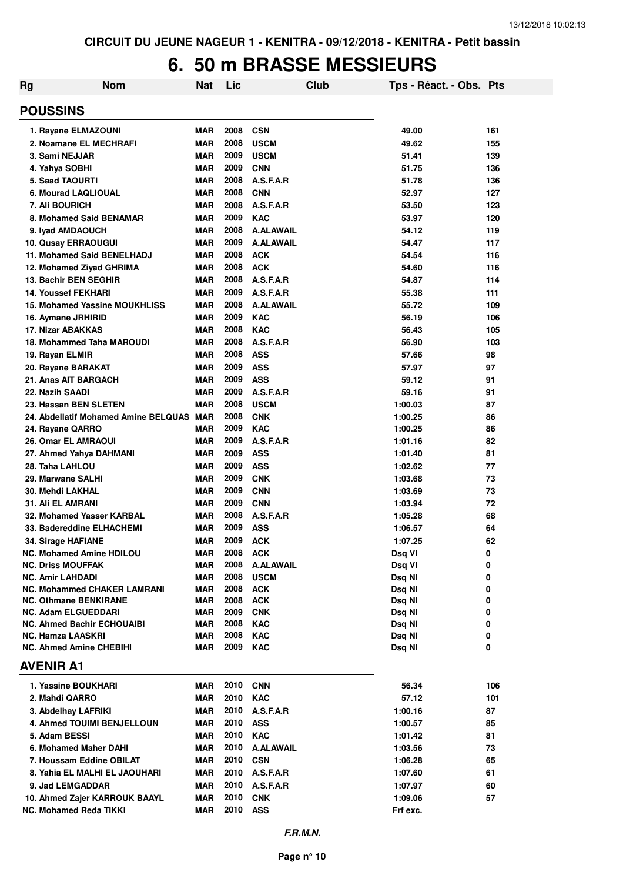#### **6. 50 m BRASSE MESSIEURS**

| <b>Rg</b>        | <b>Nom</b>                                            | <b>Nat</b>               | Lic          | <b>Club</b>              | Tps - Réact. - Obs. Pts |          |
|------------------|-------------------------------------------------------|--------------------------|--------------|--------------------------|-------------------------|----------|
| <b>POUSSINS</b>  |                                                       |                          |              |                          |                         |          |
|                  | 1. Rayane ELMAZOUNI                                   | <b>MAR</b>               | 2008         | <b>CSN</b>               | 49.00                   | 161      |
|                  | 2. Noamane EL MECHRAFI                                | <b>MAR</b>               | 2008         | <b>USCM</b>              | 49.62                   | 155      |
|                  | 3. Sami NEJJAR                                        | <b>MAR</b>               | 2009         | <b>USCM</b>              | 51.41                   | 139      |
|                  | 4. Yahya SOBHI                                        | <b>MAR</b>               | 2009         | <b>CNN</b>               | 51.75                   | 136      |
|                  | <b>5. Saad TAOURTI</b>                                | <b>MAR</b>               | 2008         | A.S.F.A.R                | 51.78                   | 136      |
|                  | 6. Mourad LAQLIOUAL                                   | <b>MAR</b>               | 2008         | <b>CNN</b>               | 52.97                   | 127      |
|                  | <b>7. Ali BOURICH</b>                                 | <b>MAR</b>               | 2008         | A.S.F.A.R                | 53.50                   | 123      |
|                  | 8. Mohamed Said BENAMAR                               | <b>MAR</b>               | 2009         | <b>KAC</b>               | 53.97                   | 120      |
|                  | 9. Iyad AMDAOUCH                                      | <b>MAR</b>               | 2008         | <b>A.ALAWAIL</b>         | 54.12                   | 119      |
|                  | 10. Qusay ERRAOUGUI                                   | <b>MAR</b>               | 2009         | <b>A.ALAWAIL</b>         | 54.47                   | 117      |
|                  | 11. Mohamed Said BENELHADJ                            | <b>MAR</b>               | 2008         | <b>ACK</b>               | 54.54                   | 116      |
|                  | 12. Mohamed Ziyad GHRIMA                              | <b>MAR</b>               | 2008         | <b>ACK</b>               | 54.60                   | 116      |
|                  | 13. Bachir BEN SEGHIR                                 | <b>MAR</b>               | 2008         | A.S.F.A.R                | 54.87                   | 114      |
|                  | <b>14. Youssef FEKHARI</b>                            | <b>MAR</b>               | 2009         | A.S.F.A.R                | 55.38                   | 111      |
|                  | 15. Mohamed Yassine MOUKHLISS                         | <b>MAR</b>               | 2008         | <b>A.ALAWAIL</b>         | 55.72                   | 109      |
|                  | 16. Aymane JRHIRID                                    | <b>MAR</b>               | 2009         | <b>KAC</b>               | 56.19                   | 106      |
|                  | 17. Nizar ABAKKAS                                     | <b>MAR</b>               | 2008         | <b>KAC</b>               | 56.43                   | 105      |
|                  | 18. Mohammed Taha MAROUDI                             | <b>MAR</b>               | 2008         | A.S.F.A.R                | 56.90                   | 103      |
|                  | 19. Rayan ELMIR                                       | <b>MAR</b>               | 2008         | <b>ASS</b>               | 57.66                   | 98       |
|                  | 20. Rayane BARAKAT                                    | <b>MAR</b>               | 2009         | <b>ASS</b>               | 57.97                   | 97       |
|                  | 21. Anas AIT BARGACH                                  | <b>MAR</b>               | 2009         | <b>ASS</b>               | 59.12                   | 91       |
| 22. Nazih SAADI  |                                                       | <b>MAR</b>               | 2009         | A.S.F.A.R                | 59.16                   | 91       |
|                  | 23. Hassan BEN SLETEN                                 | <b>MAR</b>               | 2008         | <b>USCM</b>              | 1:00.03                 | 87       |
|                  | 24. Abdellatif Mohamed Amine BELQUAS MAR              |                          | 2008         | <b>CNK</b>               | 1:00.25                 | 86       |
|                  | 24. Rayane QARRO                                      | <b>MAR</b>               | 2009<br>2009 | <b>KAC</b>               | 1:00.25                 | 86       |
|                  | <b>26. Omar EL AMRAOUI</b>                            | <b>MAR</b>               | 2009         | A.S.F.A.R                | 1:01.16                 | 82       |
|                  | 27. Ahmed Yahya DAHMANI                               | MAR                      | 2009         | <b>ASS</b>               | 1:01.40                 | 81       |
|                  | 28. Taha LAHLOU                                       | <b>MAR</b>               | 2009         | <b>ASS</b>               | 1:02.62                 | 77       |
|                  | 29. Marwane SALHI                                     | <b>MAR</b><br><b>MAR</b> | 2009         | <b>CNK</b>               | 1:03.68<br>1:03.69      | 73       |
|                  | <b>30. Mehdi LAKHAL</b>                               | <b>MAR</b>               | 2009         | <b>CNN</b><br><b>CNN</b> |                         | 73<br>72 |
|                  | <b>31. Ali EL AMRANI</b><br>32. Mohamed Yasser KARBAL | <b>MAR</b>               | 2008         | A.S.F.A.R                | 1:03.94<br>1:05.28      | 68       |
|                  | 33. Badereddine ELHACHEMI                             | <b>MAR</b>               | 2009         | <b>ASS</b>               | 1:06.57                 | 64       |
|                  | 34. Sirage HAFIANE                                    | <b>MAR</b>               | 2009         | <b>ACK</b>               | 1:07.25                 | 62       |
|                  | <b>NC. Mohamed Amine HDILOU</b>                       | <b>MAR</b>               | 2008         | <b>ACK</b>               | Dsq VI                  | 0        |
|                  | <b>NC. Driss MOUFFAK</b>                              | MAR                      | 2008         | <b>A.ALAWAIL</b>         | Dsq VI                  | 0        |
|                  | <b>NC. Amir LAHDADI</b>                               | <b>MAR</b>               | 2008         | <b>USCM</b>              | Dsq NI                  | 0        |
|                  | NC. Mohammed CHAKER LAMRANI                           | MAR                      | 2008         | <b>ACK</b>               | Dsq NI                  | 0        |
|                  | <b>NC. Othmane BENKIRANE</b>                          | <b>MAR</b>               | 2008         | <b>ACK</b>               | Dsq NI                  | 0        |
|                  | <b>NC. Adam ELGUEDDARI</b>                            | MAR                      | 2009         | <b>CNK</b>               | Dsq NI                  | 0        |
|                  | <b>NC. Ahmed Bachir ECHOUAIBI</b>                     | MAR                      | 2008         | <b>KAC</b>               | Dsq NI                  | 0        |
|                  | <b>NC. Hamza LAASKRI</b>                              | MAR                      | 2008         | <b>KAC</b>               | Dsq NI                  | 0        |
|                  | <b>NC. Ahmed Amine CHEBIHI</b>                        | MAR                      | 2009         | <b>KAC</b>               | Dsq NI                  | 0        |
| <b>AVENIR A1</b> |                                                       |                          |              |                          |                         |          |
|                  | 1. Yassine BOUKHARI                                   | MAR                      | 2010         | <b>CNN</b>               | 56.34                   | 106      |
|                  | 2. Mahdi QARRO                                        | MAR                      | 2010         | <b>KAC</b>               | 57.12                   | 101      |
|                  | 3. Abdelhay LAFRIKI                                   | MAR                      | 2010         | A.S.F.A.R                | 1:00.16                 | 87       |
|                  | <b>4. Ahmed TOUIMI BENJELLOUN</b>                     | MAR                      | 2010         | <b>ASS</b>               | 1:00.57                 | 85       |
|                  | 5. Adam BESSI                                         | MAR                      | 2010         | <b>KAC</b>               | 1:01.42                 | 81       |
|                  | 6. Mohamed Maher DAHI                                 | MAR                      | 2010         | <b>A.ALAWAIL</b>         | 1:03.56                 | 73       |
|                  | 7. Houssam Eddine OBILAT                              | MAR                      | 2010         | <b>CSN</b>               | 1:06.28                 | 65       |
|                  | 8. Yahia EL MALHI EL JAOUHARI                         | MAR                      | 2010         | A.S.F.A.R                | 1:07.60                 | 61       |
|                  | 9. Jad LEMGADDAR                                      | MAR                      | 2010         | A.S.F.A.R                | 1:07.97                 | 60       |
|                  | 10. Ahmed Zajer KARROUK BAAYL                         | MAR                      | 2010         | <b>CNK</b>               | 1:09.06                 | 57       |
|                  | <b>NC. Mohamed Reda TIKKI</b>                         | <b>MAR</b>               | 2010 ASS     |                          | Frf exc.                |          |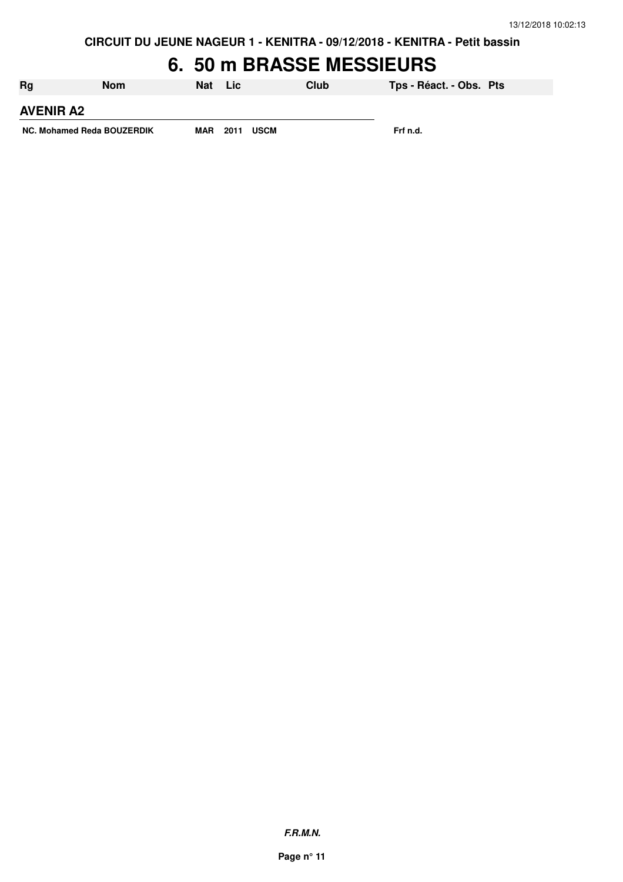**CIRCUIT DU JEUNE NAGEUR 1 - KENITRA - 09/12/2018 - KENITRA - Petit bassin**

#### **6. 50 m BRASSE MESSIEURS**

| <b>Rg</b>                  | <b>Nom</b> | Nat        | - Lic |             | Club | Tps - Réact. - Obs. Pts |  |
|----------------------------|------------|------------|-------|-------------|------|-------------------------|--|
| <b>AVENIR A2</b>           |            |            |       |             |      |                         |  |
| NC. Mohamed Reda BOUZERDIK |            | <b>MAR</b> | 2011  | <b>USCM</b> |      | Frf n.d.                |  |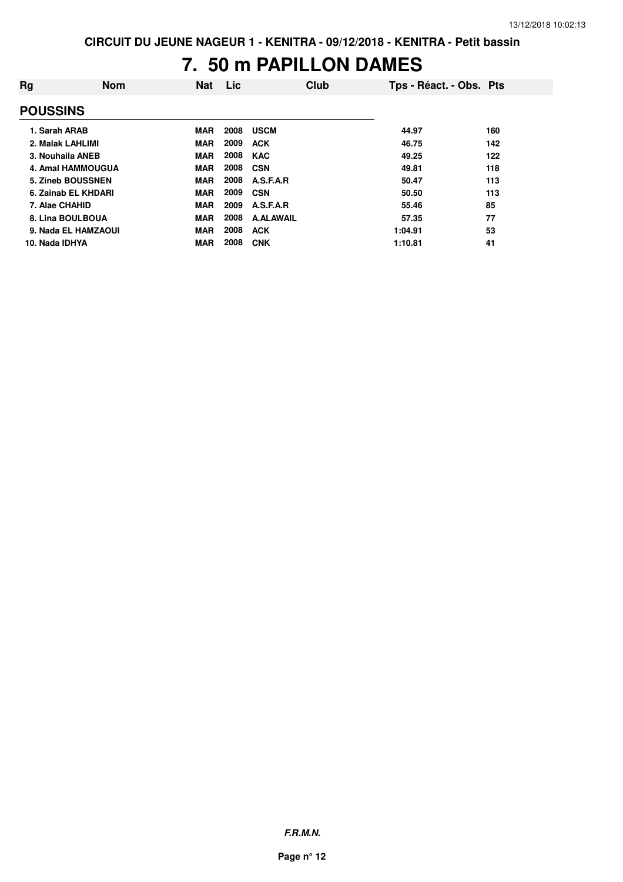#### **7. 50 m PAPILLON DAMES**

| Rg               | <b>Nom</b>          | <b>Nat</b> | Lic  | Club             | Tps - Réact. - Obs. Pts |     |
|------------------|---------------------|------------|------|------------------|-------------------------|-----|
| <b>POUSSINS</b>  |                     |            |      |                  |                         |     |
| 1. Sarah ARAB    |                     | <b>MAR</b> | 2008 | <b>USCM</b>      | 44.97                   | 160 |
| 2. Malak LAHLIMI |                     | <b>MAR</b> | 2009 | <b>ACK</b>       | 46.75                   | 142 |
| 3. Nouhaila ANEB |                     | <b>MAR</b> | 2008 | <b>KAC</b>       | 49.25                   | 122 |
|                  | 4. Amal HAMMOUGUA   | <b>MAR</b> | 2008 | CSN              | 49.81                   | 118 |
|                  | 5. Zineb BOUSSNEN   | <b>MAR</b> | 2008 | A.S.F.A.R        | 50.47                   | 113 |
|                  | 6. Zainab EL KHDARI | <b>MAR</b> | 2009 | <b>CSN</b>       | 50.50                   | 113 |
| 7. Alae CHAHID   |                     | <b>MAR</b> | 2009 | A.S.F.A.R        | 55.46                   | 85  |
| 8. Lina BOULBOUA |                     | <b>MAR</b> | 2008 | <b>A.ALAWAIL</b> | 57.35                   | 77  |
|                  | 9. Nada EL HAMZAOUI | <b>MAR</b> | 2008 | <b>ACK</b>       | 1:04.91                 | 53  |
| 10. Nada IDHYA   |                     | <b>MAR</b> | 2008 | <b>CNK</b>       | 1:10.81                 | 41  |

**F.R.M.N.**

**Page n° 12**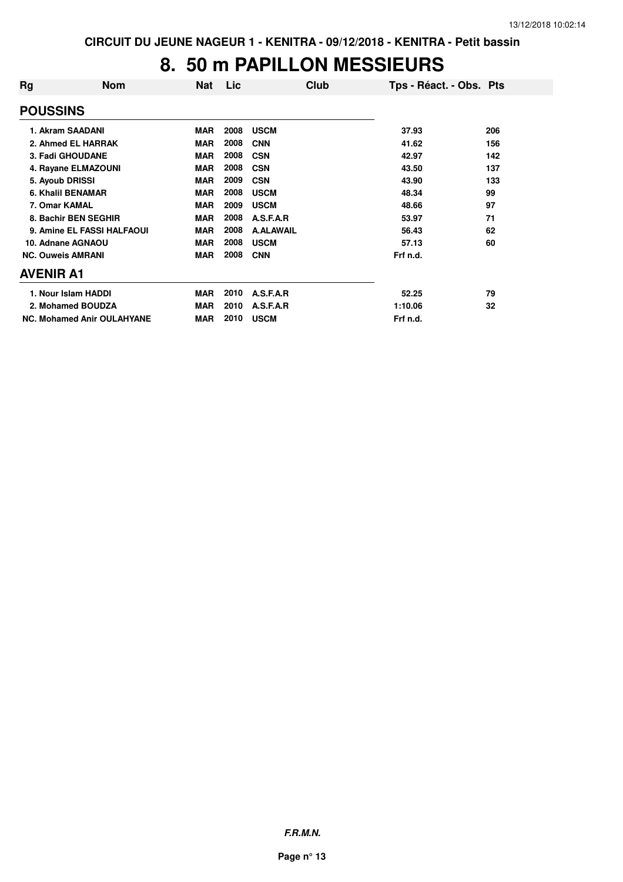#### **8. 50 m PAPILLON MESSIEURS**

| Rg                       | <b>Nom</b>                        | <b>Nat</b> | <b>Lic</b> | Club             | Tps - Réact. - Obs. Pts |     |
|--------------------------|-----------------------------------|------------|------------|------------------|-------------------------|-----|
| <b>POUSSINS</b>          |                                   |            |            |                  |                         |     |
|                          | 1. Akram SAADANI                  | <b>MAR</b> | 2008       | <b>USCM</b>      | 37.93                   | 206 |
|                          | 2. Ahmed EL HARRAK                | <b>MAR</b> | 2008       | <b>CNN</b>       | 41.62                   | 156 |
|                          | 3. Fadi GHOUDANE                  | <b>MAR</b> | 2008       | <b>CSN</b>       | 42.97                   | 142 |
|                          | 4. Rayane ELMAZOUNI               | <b>MAR</b> | 2008       | <b>CSN</b>       | 43.50                   | 137 |
| 5. Ayoub DRISSI          |                                   | <b>MAR</b> | 2009       | <b>CSN</b>       | 43.90                   | 133 |
|                          | 6. Khalil BENAMAR                 | <b>MAR</b> | 2008       | <b>USCM</b>      | 48.34                   | 99  |
| 7. Omar KAMAL            |                                   | <b>MAR</b> | 2009       | <b>USCM</b>      | 48.66                   | 97  |
|                          | 8. Bachir BEN SEGHIR              | <b>MAR</b> | 2008       | A.S.F.A.R        | 53.97                   | 71  |
|                          | 9. Amine EL FASSI HALFAOUI        | <b>MAR</b> | 2008       | <b>A.ALAWAIL</b> | 56.43                   | 62  |
|                          | 10. Adnane AGNAOU                 | <b>MAR</b> | 2008       | <b>USCM</b>      | 57.13                   | 60  |
| <b>NC. Ouweis AMRANI</b> |                                   | <b>MAR</b> | 2008       | <b>CNN</b>       | Frf n.d.                |     |
| <b>AVENIR A1</b>         |                                   |            |            |                  |                         |     |
|                          | 1. Nour Islam HADDI               | <b>MAR</b> | 2010       | A.S.F.A.R        | 52.25                   | 79  |
|                          | 2. Mohamed BOUDZA                 | <b>MAR</b> | 2010       | A.S.F.A.R        | 1:10.06                 | 32  |
|                          | <b>NC. Mohamed Anir OULAHYANE</b> | <b>MAR</b> | 2010       | <b>USCM</b>      | Frf n.d.                |     |

**F.R.M.N.**

**Page n° 13**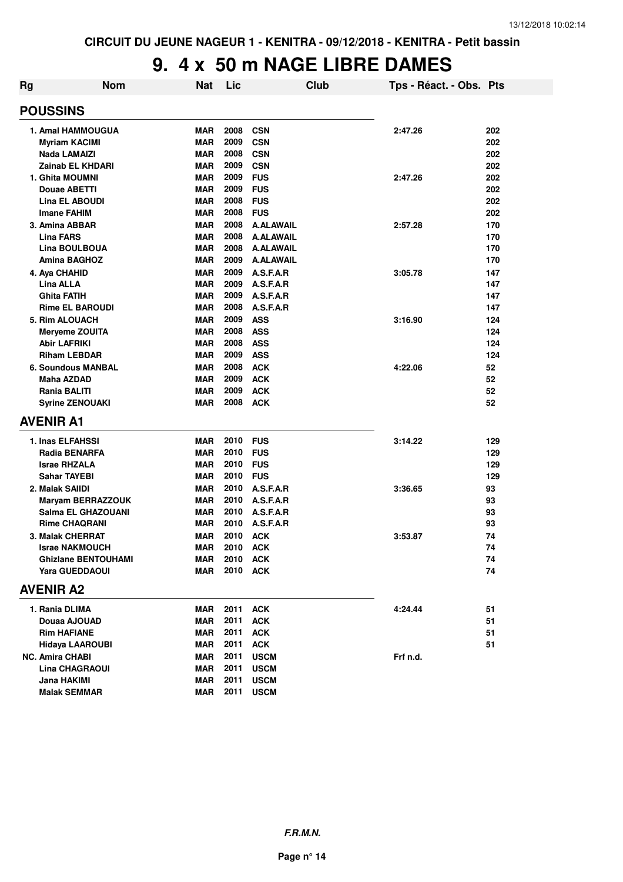#### **9. 4 x 50 m NAGE LIBRE DAMES**

| <b>Rg</b> | <b>Nom</b>                 | <b>Nat</b> | Lic      | Club             | Tps - Réact. - Obs. Pts |     |
|-----------|----------------------------|------------|----------|------------------|-------------------------|-----|
|           | <b>POUSSINS</b>            |            |          |                  |                         |     |
|           | <b>1. Amal HAMMOUGUA</b>   | <b>MAR</b> | 2008     | <b>CSN</b>       | 2:47.26                 | 202 |
|           | <b>Myriam KACIMI</b>       | <b>MAR</b> | 2009     | <b>CSN</b>       |                         | 202 |
|           | Nada LAMAIZI               | <b>MAR</b> | 2008     | <b>CSN</b>       |                         | 202 |
|           | <b>Zainab EL KHDARI</b>    | <b>MAR</b> | 2009     | <b>CSN</b>       |                         | 202 |
|           | 1. Ghita MOUMNI            | <b>MAR</b> | 2009     | <b>FUS</b>       | 2:47.26                 | 202 |
|           | <b>Douae ABETTI</b>        | <b>MAR</b> | 2009     | <b>FUS</b>       |                         | 202 |
|           | <b>Lina EL ABOUDI</b>      | <b>MAR</b> | 2008     | <b>FUS</b>       |                         | 202 |
|           | <b>Imane FAHIM</b>         | <b>MAR</b> | 2008     | <b>FUS</b>       |                         | 202 |
|           | 3. Amina ABBAR             | <b>MAR</b> | 2008     | <b>A.ALAWAIL</b> | 2:57.28                 | 170 |
|           | <b>Lina FARS</b>           | <b>MAR</b> | 2008     | <b>A.ALAWAIL</b> |                         | 170 |
|           | <b>Lina BOULBOUA</b>       | <b>MAR</b> | 2008     | <b>A.ALAWAIL</b> |                         | 170 |
|           | <b>Amina BAGHOZ</b>        | <b>MAR</b> | 2009     | <b>A.ALAWAIL</b> |                         | 170 |
|           | 4. Aya CHAHID              | <b>MAR</b> | 2009     | A.S.F.A.R        | 3:05.78                 | 147 |
|           | <b>Lina ALLA</b>           | <b>MAR</b> | 2009     | A.S.F.A.R        |                         | 147 |
|           | <b>Ghita FATIH</b>         | <b>MAR</b> | 2009     | A.S.F.A.R        |                         | 147 |
|           | <b>Rime EL BAROUDI</b>     | <b>MAR</b> | 2008     | A.S.F.A.R        |                         | 147 |
|           | 5. Rim ALOUACH             | <b>MAR</b> | 2009     | <b>ASS</b>       | 3:16.90                 | 124 |
|           | <b>Meryeme ZOUITA</b>      | <b>MAR</b> | 2008     | <b>ASS</b>       |                         | 124 |
|           | <b>Abir LAFRIKI</b>        | <b>MAR</b> | 2008     | <b>ASS</b>       |                         | 124 |
|           | <b>Riham LEBDAR</b>        | <b>MAR</b> | 2009     | <b>ASS</b>       |                         | 124 |
|           | <b>6. Soundous MANBAL</b>  | <b>MAR</b> | 2008     | <b>ACK</b>       | 4:22.06                 | 52  |
|           | Maha AZDAD                 | <b>MAR</b> | 2009     | <b>ACK</b>       |                         | 52  |
|           | Rania BALITI               | <b>MAR</b> | 2009     | <b>ACK</b>       |                         | 52  |
|           | <b>Syrine ZENOUAKI</b>     | <b>MAR</b> | 2008     | <b>ACK</b>       |                         | 52  |
|           | <b>AVENIR A1</b>           |            |          |                  |                         |     |
|           | 1. Inas ELFAHSSI           | MAR        | 2010     | <b>FUS</b>       | 3:14.22                 | 129 |
|           | Radia BENARFA              | <b>MAR</b> | 2010     | <b>FUS</b>       |                         | 129 |
|           | <b>Israe RHZALA</b>        | <b>MAR</b> | 2010     | <b>FUS</b>       |                         | 129 |
|           | <b>Sahar TAYEBI</b>        | <b>MAR</b> | 2010     | <b>FUS</b>       |                         | 129 |
|           | 2. Malak SAIIDI            | <b>MAR</b> | 2010     | A.S.F.A.R        | 3:36.65                 | 93  |
|           | <b>Maryam BERRAZZOUK</b>   | <b>MAR</b> | 2010     | A.S.F.A.R        |                         | 93  |
|           | Salma EL GHAZOUANI         | <b>MAR</b> | 2010     | A.S.F.A.R        |                         | 93  |
|           | <b>Rime CHAQRANI</b>       | MAR        | 2010     | A.S.F.A.R        |                         | 93  |
|           | 3. Malak CHERRAT           | MAR        | 2010     | <b>ACK</b>       | 3:53.87                 | 74  |
|           | <b>Israe NAKMOUCH</b>      | <b>MAR</b> | 2010 ACK |                  |                         | 74  |
|           | <b>Ghizlane BENTOUHAMI</b> | MAR        | 2010     | <b>ACK</b>       |                         | 74  |
|           | <b>Yara GUEDDAOUI</b>      | MAR        | 2010     | <b>ACK</b>       |                         | 74  |
|           | <b>AVENIR A2</b>           |            |          |                  |                         |     |
|           | 1. Rania DLIMA             | MAR        |          | 2011 ACK         | 4:24.44                 | 51  |
|           | Douaa AJOUAD               | <b>MAR</b> | 2011     | <b>ACK</b>       |                         | 51  |
|           | <b>Rim HAFIANE</b>         | MAR        | 2011     | <b>ACK</b>       |                         | 51  |
|           | <b>Hidaya LAAROUBI</b>     | MAR        | 2011     | <b>ACK</b>       |                         | 51  |
|           | <b>NC. Amira CHABI</b>     | MAR        | 2011     | <b>USCM</b>      | Frf n.d.                |     |
|           | <b>Lina CHAGRAOUI</b>      | MAR        | 2011     | <b>USCM</b>      |                         |     |
|           | Jana HAKIMI                | <b>MAR</b> | 2011     | <b>USCM</b>      |                         |     |
|           | <b>Malak SEMMAR</b>        | MAR        | 2011     | <b>USCM</b>      |                         |     |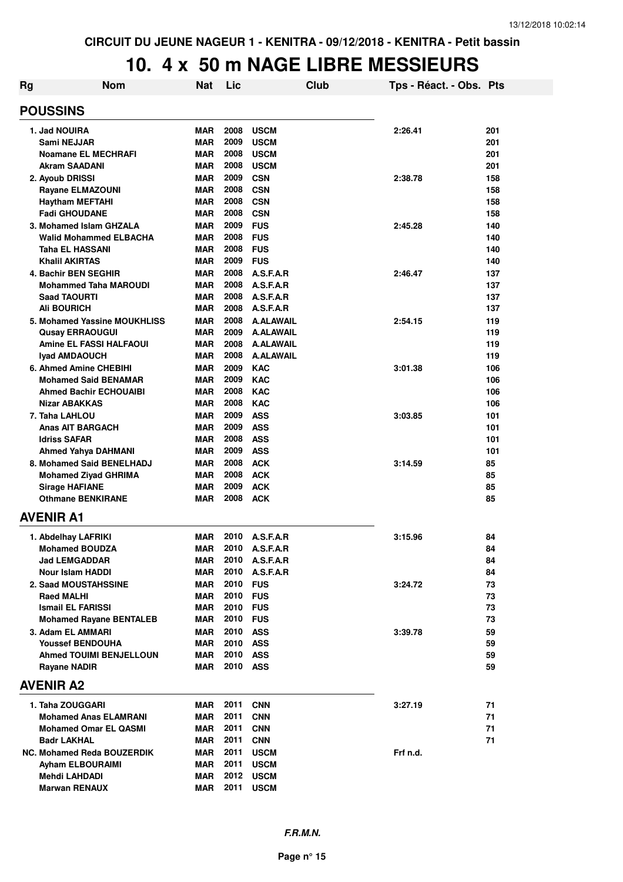#### **10. 4 x 50 m NAGE LIBRE MESSIEURS**

| Rg | <b>Nom</b>                                              | <b>Nat</b>               | Lic          |                          | Club | Tps - Réact. - Obs. Pts |            |
|----|---------------------------------------------------------|--------------------------|--------------|--------------------------|------|-------------------------|------------|
|    | <b>POUSSINS</b>                                         |                          |              |                          |      |                         |            |
|    | 1. Jad NOUIRA                                           | <b>MAR</b>               | 2008         | <b>USCM</b>              |      | 2:26.41                 | 201        |
|    | Sami NEJJAR                                             | <b>MAR</b>               | 2009         | <b>USCM</b>              |      |                         | 201        |
|    | <b>Noamane EL MECHRAFI</b>                              | <b>MAR</b>               | 2008         | <b>USCM</b>              |      |                         | 201        |
|    | <b>Akram SAADANI</b>                                    | <b>MAR</b>               | 2008         | <b>USCM</b>              |      |                         | 201        |
|    | 2. Ayoub DRISSI                                         | <b>MAR</b>               | 2009         | <b>CSN</b>               |      | 2:38.78                 | 158        |
|    | <b>Rayane ELMAZOUNI</b>                                 | <b>MAR</b>               | 2008         | <b>CSN</b>               |      |                         | 158        |
|    | <b>Haytham MEFTAHI</b>                                  | <b>MAR</b>               | 2008         | <b>CSN</b>               |      |                         | 158        |
|    | <b>Fadi GHOUDANE</b>                                    | <b>MAR</b>               | 2008         | <b>CSN</b>               |      |                         | 158        |
|    | 3. Mohamed Islam GHZALA<br>Walid Mohammed ELBACHA       | <b>MAR</b><br><b>MAR</b> | 2009<br>2008 | <b>FUS</b><br><b>FUS</b> |      | 2:45.28                 | 140<br>140 |
|    | Taha EL HASSANI                                         | <b>MAR</b>               | 2008         | <b>FUS</b>               |      |                         | 140        |
|    | <b>Khalil AKIRTAS</b>                                   | <b>MAR</b>               | 2009         | <b>FUS</b>               |      |                         | 140        |
|    | 4. Bachir BEN SEGHIR                                    | <b>MAR</b>               | 2008         | A.S.F.A.R                |      | 2:46.47                 | 137        |
|    | <b>Mohammed Taha MAROUDI</b>                            | <b>MAR</b>               | 2008         | A.S.F.A.R                |      |                         | 137        |
|    | <b>Saad TAOURTI</b>                                     | <b>MAR</b>               | 2008         | A.S.F.A.R                |      |                         | 137        |
|    | <b>Ali BOURICH</b>                                      | <b>MAR</b>               | 2008         | A.S.F.A.R                |      |                         | 137        |
|    | 5. Mohamed Yassine MOUKHLISS                            | <b>MAR</b>               | 2008         | <b>A.ALAWAIL</b>         |      | 2:54.15                 | 119        |
|    | <b>Qusay ERRAOUGUI</b>                                  | <b>MAR</b>               | 2009         | <b>A.ALAWAIL</b>         |      |                         | 119        |
|    | <b>Amine EL FASSI HALFAOUI</b>                          | <b>MAR</b>               | 2008         | <b>A.ALAWAIL</b>         |      |                         | 119        |
|    | <b>Ivad AMDAOUCH</b>                                    | <b>MAR</b>               | 2008         | <b>A.ALAWAIL</b>         |      |                         | 119        |
|    | 6. Ahmed Amine CHEBIHI                                  | <b>MAR</b>               | 2009         | <b>KAC</b>               |      | 3:01.38                 | 106        |
|    | <b>Mohamed Said BENAMAR</b>                             | <b>MAR</b>               | 2009         | <b>KAC</b>               |      |                         | 106        |
|    | <b>Ahmed Bachir ECHOUAIBI</b>                           | <b>MAR</b>               | 2008         | <b>KAC</b>               |      |                         | 106        |
|    | Nizar ABAKKAS                                           | <b>MAR</b>               | 2008         | <b>KAC</b>               |      |                         | 106        |
|    | 7. Taha LAHLOU                                          | <b>MAR</b>               | 2009         | <b>ASS</b>               |      | 3:03.85                 | 101        |
|    | Anas AIT BARGACH                                        | <b>MAR</b>               | 2009         | <b>ASS</b>               |      |                         | 101        |
|    | <b>Idriss SAFAR</b>                                     | <b>MAR</b>               | 2008<br>2009 | <b>ASS</b><br><b>ASS</b> |      |                         | 101        |
|    | <b>Ahmed Yahya DAHMANI</b><br>8. Mohamed Said BENELHADJ | <b>MAR</b><br><b>MAR</b> | 2008         | <b>ACK</b>               |      |                         | 101<br>85  |
|    | <b>Mohamed Ziyad GHRIMA</b>                             | <b>MAR</b>               | 2008         | <b>ACK</b>               |      | 3:14.59                 | 85         |
|    | <b>Sirage HAFIANE</b>                                   | <b>MAR</b>               | 2009         | <b>ACK</b>               |      |                         | 85         |
|    | <b>Othmane BENKIRANE</b>                                | <b>MAR</b>               | 2008         | <b>ACK</b>               |      |                         | 85         |
|    | AVENIR A1                                               |                          |              |                          |      |                         |            |
|    | 1. Abdelhay LAFRIKI                                     | <b>MAR</b>               |              | 2010 A.S.F.A.R           |      | 3:15.96                 | 84         |
|    | <b>Mohamed BOUDZA</b>                                   | <b>MAR</b>               |              | 2010 A.S.F.A.R           |      |                         | 84         |
|    | <b>Jad LEMGADDAR</b>                                    | MAR                      |              | 2010 A.S.F.A.R           |      |                         | 84         |
|    | Nour Islam HADDI                                        | <b>MAR</b>               | 2010         | A.S.F.A.R                |      |                         | 84         |
|    | 2. Saad MOUSTAHSSINE                                    | MAR                      | 2010         | <b>FUS</b>               |      | 3:24.72                 | 73         |
|    | <b>Raed MALHI</b>                                       | <b>MAR</b>               | 2010 FUS     |                          |      |                         | 73         |
|    | <b>Ismail EL FARISSI</b>                                | MAR                      | 2010 FUS     |                          |      |                         | 73         |
|    | <b>Mohamed Rayane BENTALEB</b>                          | MAR                      | 2010 FUS     |                          |      |                         | 73         |
|    | 3. Adam EL AMMARI                                       | <b>MAR</b>               | 2010 ASS     |                          |      | 3:39.78                 | 59         |
|    | <b>Youssef BENDOUHA</b>                                 | MAR                      | 2010 ASS     |                          |      |                         | 59         |
|    | <b>Ahmed TOUIMI BENJELLOUN</b>                          | <b>MAR</b>               | 2010 ASS     |                          |      |                         | 59         |
|    | <b>Rayane NADIR</b>                                     | MAR                      | 2010 ASS     |                          |      |                         | 59         |
|    | AVENIR A2                                               |                          |              |                          |      |                         |            |
|    | 1. Taha ZOUGGARI                                        | MAR                      | 2011         | <b>CNN</b>               |      | 3:27.19                 | 71         |
|    | <b>Mohamed Anas ELAMRANI</b>                            | MAR                      | 2011         | <b>CNN</b>               |      |                         | 71         |
|    | <b>Mohamed Omar EL QASMI</b>                            | MAR                      | 2011         | <b>CNN</b>               |      |                         | 71         |
|    | <b>Badr LAKHAL</b>                                      | <b>MAR</b>               | 2011         | <b>CNN</b>               |      |                         | 71         |
|    | <b>NC. Mohamed Reda BOUZERDIK</b>                       | MAR                      | 2011         | <b>USCM</b>              |      | Frf n.d.                |            |
|    | Ayham ELBOURAIMI                                        | MAR                      | 2011         | <b>USCM</b>              |      |                         |            |
|    | Mehdi LAHDADI                                           | MAR                      |              | 2012 USCM                |      |                         |            |
|    | <b>Marwan RENAUX</b>                                    | <b>MAR</b>               | 2011         | <b>USCM</b>              |      |                         |            |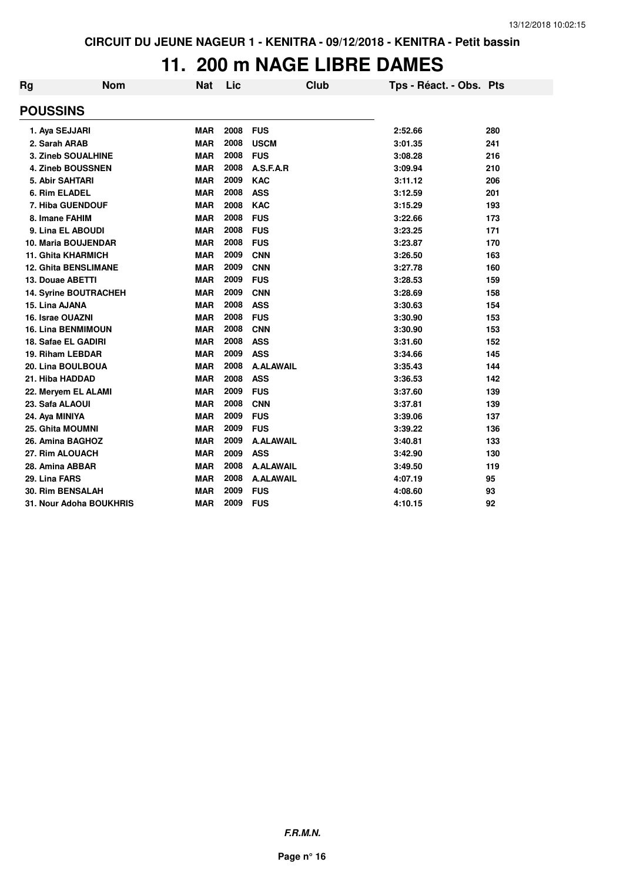#### **11. 200 m NAGE LIBRE DAMES**

| Rg                     | <b>Nom</b>                  | <b>Nat</b> | Lic  | Club             | Tps - Réact. - Obs. Pts |     |
|------------------------|-----------------------------|------------|------|------------------|-------------------------|-----|
| <b>POUSSINS</b>        |                             |            |      |                  |                         |     |
| 1. Aya SEJJARI         |                             | <b>MAR</b> | 2008 | <b>FUS</b>       | 2:52.66                 | 280 |
| 2. Sarah ARAB          |                             | <b>MAR</b> | 2008 | <b>USCM</b>      | 3:01.35                 | 241 |
|                        | 3. Zineb SOUALHINE          | <b>MAR</b> | 2008 | <b>FUS</b>       | 3:08.28                 | 216 |
|                        | 4. Zineb BOUSSNEN           | <b>MAR</b> | 2008 | A.S.F.A.R        | 3:09.94                 | 210 |
| <b>5. Abir SAHTARI</b> |                             | <b>MAR</b> | 2009 | <b>KAC</b>       | 3:11.12                 | 206 |
| 6. Rim ELADEL          |                             | <b>MAR</b> | 2008 | <b>ASS</b>       | 3:12.59                 | 201 |
|                        | 7. Hiba GUENDOUF            | <b>MAR</b> | 2008 | <b>KAC</b>       | 3:15.29                 | 193 |
| 8. Imane FAHIM         |                             | <b>MAR</b> | 2008 | <b>FUS</b>       | 3:22.66                 | 173 |
|                        | 9. Lina EL ABOUDI           | <b>MAR</b> | 2008 | <b>FUS</b>       | 3:23.25                 | 171 |
|                        | 10. Maria BOUJENDAR         | <b>MAR</b> | 2008 | <b>FUS</b>       | 3:23.87                 | 170 |
|                        | <b>11. Ghita KHARMICH</b>   | <b>MAR</b> | 2009 | <b>CNN</b>       | 3:26.50                 | 163 |
|                        | <b>12. Ghita BENSLIMANE</b> | <b>MAR</b> | 2009 | <b>CNN</b>       | 3:27.78                 | 160 |
| 13. Douae ABETTI       |                             | <b>MAR</b> | 2009 | <b>FUS</b>       | 3:28.53                 | 159 |
|                        | 14. Syrine BOUTRACHEH       | <b>MAR</b> | 2009 | <b>CNN</b>       | 3:28.69                 | 158 |
| 15. Lina AJANA         |                             | <b>MAR</b> | 2008 | <b>ASS</b>       | 3:30.63                 | 154 |
| 16. Israe OUAZNI       |                             | <b>MAR</b> | 2008 | <b>FUS</b>       | 3:30.90                 | 153 |
|                        | <b>16. Lina BENMIMOUN</b>   | <b>MAR</b> | 2008 | <b>CNN</b>       | 3:30.90                 | 153 |
|                        | 18. Safae EL GADIRI         | <b>MAR</b> | 2008 | <b>ASS</b>       | 3:31.60                 | 152 |
|                        | 19. Riham LEBDAR            | <b>MAR</b> | 2009 | <b>ASS</b>       | 3:34.66                 | 145 |
|                        | 20. Lina BOULBOUA           | <b>MAR</b> | 2008 | <b>A.ALAWAIL</b> | 3:35.43                 | 144 |
| 21. Hiba HADDAD        |                             | <b>MAR</b> | 2008 | <b>ASS</b>       | 3:36.53                 | 142 |
|                        | 22. Meryem EL ALAMI         | <b>MAR</b> | 2009 | <b>FUS</b>       | 3:37.60                 | 139 |
| 23. Safa ALAOUI        |                             | <b>MAR</b> | 2008 | <b>CNN</b>       | 3:37.81                 | 139 |
| 24. Aya MINIYA         |                             | <b>MAR</b> | 2009 | <b>FUS</b>       | 3:39.06                 | 137 |
| 25. Ghita MOUMNI       |                             | <b>MAR</b> | 2009 | <b>FUS</b>       | 3:39.22                 | 136 |
|                        | 26. Amina BAGHOZ            | <b>MAR</b> | 2009 | <b>A.ALAWAIL</b> | 3:40.81                 | 133 |
| 27. Rim ALOUACH        |                             | <b>MAR</b> | 2009 | <b>ASS</b>       | 3:42.90                 | 130 |
| 28. Amina ABBAR        |                             | <b>MAR</b> | 2008 | <b>A.ALAWAIL</b> | 3:49.50                 | 119 |
| 29. Lina FARS          |                             | <b>MAR</b> | 2008 | <b>A.ALAWAIL</b> | 4:07.19                 | 95  |
|                        | <b>30. Rim BENSALAH</b>     | <b>MAR</b> | 2009 | <b>FUS</b>       | 4:08.60                 | 93  |
|                        | 31. Nour Adoha BOUKHRIS     | <b>MAR</b> | 2009 | <b>FUS</b>       | 4:10.15                 | 92  |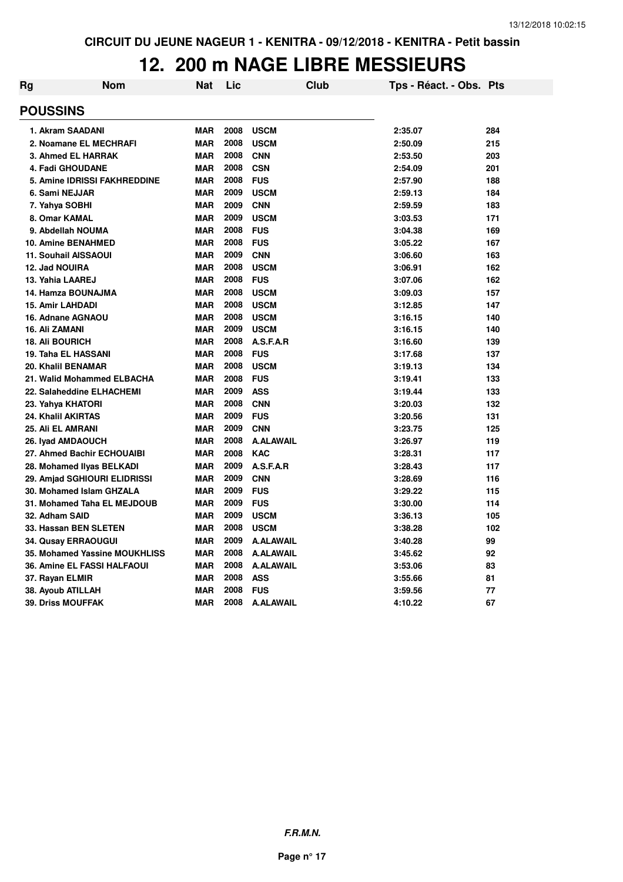#### **12. 200 m NAGE LIBRE MESSIEURS**

| Rg                           | Nom                                 | <b>Nat</b> | Lic  | <b>Club</b>      | Tps - Réact. - Obs. Pts |     |
|------------------------------|-------------------------------------|------------|------|------------------|-------------------------|-----|
| <b>POUSSINS</b>              |                                     |            |      |                  |                         |     |
| 1. Akram SAADANI             |                                     | <b>MAR</b> | 2008 | <b>USCM</b>      | 2:35.07                 | 284 |
| 2. Noamane EL MECHRAFI       |                                     | <b>MAR</b> | 2008 | <b>USCM</b>      | 2:50.09                 | 215 |
| 3. Ahmed EL HARRAK           |                                     | <b>MAR</b> | 2008 | <b>CNN</b>       | 2:53.50                 | 203 |
| 4. Fadi GHOUDANE             |                                     | <b>MAR</b> | 2008 | <b>CSN</b>       | 2:54.09                 | 201 |
|                              | <b>5. Amine IDRISSI FAKHREDDINE</b> | <b>MAR</b> | 2008 | <b>FUS</b>       | 2:57.90                 | 188 |
| 6. Sami NEJJAR               |                                     | <b>MAR</b> | 2009 | <b>USCM</b>      | 2:59.13                 | 184 |
| 7. Yahya SOBHI               |                                     | <b>MAR</b> | 2009 | <b>CNN</b>       | 2:59.59                 | 183 |
| 8. Omar KAMAL                |                                     | <b>MAR</b> | 2009 | <b>USCM</b>      | 3:03.53                 | 171 |
| 9. Abdellah NOUMA            |                                     | <b>MAR</b> | 2008 | <b>FUS</b>       | 3:04.38                 | 169 |
| <b>10. Amine BENAHMED</b>    |                                     | <b>MAR</b> | 2008 | <b>FUS</b>       | 3:05.22                 | 167 |
| <b>11. Souhail AISSAOUI</b>  |                                     | <b>MAR</b> | 2009 | <b>CNN</b>       | 3:06.60                 | 163 |
| 12. Jad NOUIRA               |                                     | <b>MAR</b> | 2008 | <b>USCM</b>      | 3:06.91                 | 162 |
| 13. Yahia LAAREJ             |                                     | <b>MAR</b> | 2008 | <b>FUS</b>       | 3:07.06                 | 162 |
| 14. Hamza BOUNAJMA           |                                     | <b>MAR</b> | 2008 | <b>USCM</b>      | 3:09.03                 | 157 |
| <b>15. Amir LAHDADI</b>      |                                     | <b>MAR</b> | 2008 | <b>USCM</b>      | 3:12.85                 | 147 |
| 16. Adnane AGNAOU            |                                     | <b>MAR</b> | 2008 | <b>USCM</b>      | 3:16.15                 | 140 |
| <b>16. Ali ZAMANI</b>        |                                     | <b>MAR</b> | 2009 | <b>USCM</b>      | 3:16.15                 | 140 |
| <b>18. Ali BOURICH</b>       |                                     | <b>MAR</b> | 2008 | A.S.F.A.R        | 3:16.60                 | 139 |
| <b>19. Taha EL HASSANI</b>   |                                     | <b>MAR</b> | 2008 | <b>FUS</b>       | 3:17.68                 | 137 |
| 20. Khalil BENAMAR           |                                     | <b>MAR</b> | 2008 | <b>USCM</b>      | 3:19.13                 | 134 |
|                              | 21. Walid Mohammed ELBACHA          | <b>MAR</b> | 2008 | <b>FUS</b>       | 3:19.41                 | 133 |
| 22. Salaheddine ELHACHEMI    |                                     | <b>MAR</b> | 2009 | <b>ASS</b>       | 3:19.44                 | 133 |
| 23. Yahya KHATORI            |                                     | <b>MAR</b> | 2008 | <b>CNN</b>       | 3:20.03                 | 132 |
| 24. Khalil AKIRTAS           |                                     | <b>MAR</b> | 2009 | <b>FUS</b>       | 3:20.56                 | 131 |
| 25. Ali EL AMRANI            |                                     | <b>MAR</b> | 2009 | <b>CNN</b>       | 3:23.75                 | 125 |
| 26. Iyad AMDAOUCH            |                                     | <b>MAR</b> | 2008 | <b>A.ALAWAIL</b> | 3:26.97                 | 119 |
| 27. Ahmed Bachir ECHOUAIBI   |                                     | <b>MAR</b> | 2008 | <b>KAC</b>       | 3:28.31                 | 117 |
| 28. Mohamed Ilyas BELKADI    |                                     | <b>MAR</b> | 2009 | A.S.F.A.R        | 3:28.43                 | 117 |
| 29. Amjad SGHIOURI ELIDRISSI |                                     | <b>MAR</b> | 2009 | <b>CNN</b>       | 3:28.69                 | 116 |
| 30. Mohamed Islam GHZALA     |                                     | <b>MAR</b> | 2009 | <b>FUS</b>       | 3:29.22                 | 115 |
|                              | 31. Mohamed Taha EL MEJDOUB         | <b>MAR</b> | 2009 | <b>FUS</b>       | 3:30.00                 | 114 |
| 32. Adham SAID               |                                     | <b>MAR</b> | 2009 | <b>USCM</b>      | 3:36.13                 | 105 |
| 33. Hassan BEN SLETEN        |                                     | <b>MAR</b> | 2008 | <b>USCM</b>      | 3:38.28                 | 102 |
| 34. Qusay ERRAOUGUI          |                                     | <b>MAR</b> | 2009 | <b>A.ALAWAIL</b> | 3:40.28                 | 99  |
|                              | 35. Mohamed Yassine MOUKHLISS       | <b>MAR</b> | 2008 | <b>A.ALAWAIL</b> | 3:45.62                 | 92  |
| 36. Amine EL FASSI HALFAOUI  |                                     | <b>MAR</b> | 2008 | <b>A.ALAWAIL</b> | 3:53.06                 | 83  |
| 37. Rayan ELMIR              |                                     | <b>MAR</b> | 2008 | <b>ASS</b>       | 3:55.66                 | 81  |
| 38. Ayoub ATILLAH            |                                     | <b>MAR</b> | 2008 | <b>FUS</b>       | 3:59.56                 | 77  |
| <b>39. Driss MOUFFAK</b>     |                                     | <b>MAR</b> | 2008 | <b>A.ALAWAIL</b> | 4:10.22                 | 67  |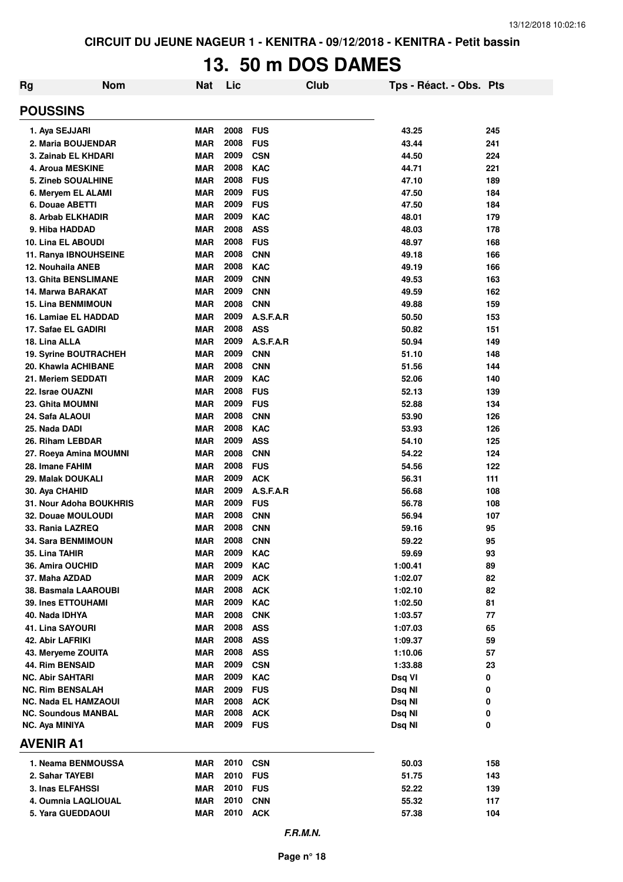# **13. 50 m DOS DAMES**

| <b>Rg</b>                           | <b>Nom</b> | <b>Nat</b>               | Lic          |                          | <b>Club</b> | Tps - Réact. - Obs. Pts |            |
|-------------------------------------|------------|--------------------------|--------------|--------------------------|-------------|-------------------------|------------|
| <b>POUSSINS</b>                     |            |                          |              |                          |             |                         |            |
| 1. Aya SEJJARI                      |            | <b>MAR</b>               | 2008         | <b>FUS</b>               |             | 43.25                   | 245        |
| 2. Maria BOUJENDAR                  |            | <b>MAR</b>               | 2008         | <b>FUS</b>               |             | 43.44                   | 241        |
| 3. Zainab EL KHDARI                 |            | <b>MAR</b>               | 2009         | <b>CSN</b>               |             | 44.50                   | 224        |
| 4. Aroua MESKINE                    |            | <b>MAR</b>               | 2008         | <b>KAC</b>               |             | 44.71                   | 221        |
| 5. Zineb SOUALHINE                  |            | <b>MAR</b>               | 2008         | <b>FUS</b>               |             | 47.10                   | 189        |
| 6. Meryem EL ALAMI                  |            | <b>MAR</b>               | 2009         | <b>FUS</b>               |             | 47.50                   | 184        |
| 6. Douae ABETTI                     |            | <b>MAR</b>               | 2009         | <b>FUS</b>               |             | 47.50                   | 184        |
| 8. Arbab ELKHADIR                   |            | <b>MAR</b>               | 2009         | <b>KAC</b>               |             | 48.01                   | 179        |
| 9. Hiba HADDAD                      |            | <b>MAR</b>               | 2008         | <b>ASS</b>               |             | 48.03                   | 178        |
| <b>10. Lina EL ABOUDI</b>           |            | <b>MAR</b>               | 2008         | <b>FUS</b>               |             | 48.97                   | 168        |
| 11. Ranya IBNOUHSEINE               |            | <b>MAR</b>               | 2008         | <b>CNN</b>               |             | 49.18                   | 166        |
| 12. Nouhaila ANEB                   |            | <b>MAR</b>               | 2008         | <b>KAC</b>               |             | 49.19                   | 166        |
| <b>13. Ghita BENSLIMANE</b>         |            | <b>MAR</b>               | 2009         | <b>CNN</b>               |             | 49.53                   | 163        |
| 14. Marwa BARAKAT                   |            | <b>MAR</b>               | 2009         | <b>CNN</b>               |             | 49.59                   | 162        |
| <b>15. Lina BENMIMOUN</b>           |            | <b>MAR</b>               | 2008         | <b>CNN</b>               |             | 49.88                   | 159        |
| 16. Lamiae EL HADDAD                |            | <b>MAR</b>               | 2009         | A.S.F.A.R                |             | 50.50                   | 153        |
| 17. Safae EL GADIRI                 |            | <b>MAR</b>               | 2008         | <b>ASS</b>               |             | 50.82                   | 151        |
| 18. Lina ALLA                       |            | <b>MAR</b>               | 2009         | A.S.F.A.R                |             | 50.94                   | 149        |
| 19. Syrine BOUTRACHEH               |            | <b>MAR</b>               | 2009         | <b>CNN</b>               |             | 51.10                   | 148        |
| 20. Khawla ACHIBANE                 |            | <b>MAR</b>               | 2008         | <b>CNN</b>               |             | 51.56                   | 144        |
| 21. Meriem SEDDATI                  |            | <b>MAR</b>               | 2009         | <b>KAC</b>               |             | 52.06                   | 140        |
| 22. Israe OUAZNI                    |            | <b>MAR</b>               | 2008         | <b>FUS</b>               |             | 52.13                   | 139        |
| 23. Ghita MOUMNI                    |            | <b>MAR</b>               | 2009         | <b>FUS</b>               |             | 52.88                   | 134        |
| 24. Safa ALAOUI                     |            | <b>MAR</b>               | 2008         | <b>CNN</b>               |             | 53.90                   | 126        |
| 25. Nada DADI                       |            | <b>MAR</b>               | 2008<br>2009 | <b>KAC</b>               |             | 53.93                   | 126        |
| 26. Riham LEBDAR                    |            | <b>MAR</b>               | 2008         | <b>ASS</b>               |             | 54.10                   | 125        |
| 27. Roeya Amina MOUMNI              |            | <b>MAR</b>               | 2008         | <b>CNN</b>               |             | 54.22                   | 124        |
| 28. Imane FAHIM                     |            | <b>MAR</b><br><b>MAR</b> | 2009         | <b>FUS</b><br><b>ACK</b> |             | 54.56<br>56.31          | 122        |
| 29. Malak DOUKALI<br>30. Aya CHAHID |            | <b>MAR</b>               | 2009         | A.S.F.A.R                |             | 56.68                   | 111<br>108 |
| 31. Nour Adoha BOUKHRIS             |            | <b>MAR</b>               | 2009         | <b>FUS</b>               |             | 56.78                   | 108        |
| <b>32. Douae MOULOUDI</b>           |            | <b>MAR</b>               | 2008         | <b>CNN</b>               |             | 56.94                   | 107        |
| 33. Rania LAZREQ                    |            | <b>MAR</b>               | 2008         | <b>CNN</b>               |             | 59.16                   | 95         |
| <b>34. Sara BENMIMOUN</b>           |            | <b>MAR</b>               | 2008         | <b>CNN</b>               |             | 59.22                   | 95         |
| 35. Lina TAHIR                      |            | MAR                      | 2009         | <b>KAC</b>               |             | 59.69                   | 93         |
| 36. Amira OUCHID                    |            | <b>MAR</b>               | 2009         | <b>KAC</b>               |             | 1:00.41                 | 89         |
| 37. Maha AZDAD                      |            | <b>MAR</b>               | 2009         | <b>ACK</b>               |             | 1:02.07                 | 82         |
| 38. Basmala LAAROUBI                |            | <b>MAR</b>               | 2008         | <b>ACK</b>               |             | 1:02.10                 | 82         |
| <b>39. Ines ETTOUHAMI</b>           |            | <b>MAR</b>               | 2009         | <b>KAC</b>               |             | 1:02.50                 | 81         |
| 40. Nada IDHYA                      |            | <b>MAR</b>               | 2008         | <b>CNK</b>               |             | 1:03.57                 | 77         |
| 41. Lina SAYOURI                    |            | <b>MAR</b>               | 2008         | <b>ASS</b>               |             | 1:07.03                 | 65         |
| 42. Abir LAFRIKI                    |            | <b>MAR</b>               | 2008         | <b>ASS</b>               |             | 1:09.37                 | 59         |
| 43. Meryeme ZOUITA                  |            | <b>MAR</b>               | 2008         | <b>ASS</b>               |             | 1:10.06                 | 57         |
| <b>44. Rim BENSAID</b>              |            | <b>MAR</b>               | 2009         | <b>CSN</b>               |             | 1:33.88                 | 23         |
| <b>NC. Abir SAHTARI</b>             |            | <b>MAR</b>               | 2009         | <b>KAC</b>               |             | Dsq VI                  | 0          |
| <b>NC. Rim BENSALAH</b>             |            | <b>MAR</b>               | 2009         | <b>FUS</b>               |             | Dsq NI                  | 0          |
| NC. Nada EL HAMZAOUI                |            | MAR                      | 2008         | <b>ACK</b>               |             | Dsq NI                  | 0          |
| NC. Soundous MANBAL                 |            | <b>MAR</b>               | 2008         | <b>ACK</b>               |             | Dsq NI                  | 0          |
| NC. Aya MINIYA                      |            | <b>MAR</b>               | 2009         | <b>FUS</b>               |             | Dsq NI                  | 0          |
| <b>AVENIR A1</b>                    |            |                          |              |                          |             |                         |            |
| 1. Neama BENMOUSSA                  |            | <b>MAR</b>               | 2010         | <b>CSN</b>               |             | 50.03                   | 158        |
| 2. Sahar TAYEBI                     |            | <b>MAR</b>               | 2010         | <b>FUS</b>               |             | 51.75                   | 143        |
| 3. Inas ELFAHSSI                    |            | <b>MAR</b>               | 2010         | <b>FUS</b>               |             | 52.22                   | 139        |
| 4. Oumnia LAQLIOUAL                 |            | <b>MAR</b>               | 2010         | <b>CNN</b>               |             | 55.32                   | 117        |
| 5. Yara GUEDDAOUI                   |            | <b>MAR</b>               | 2010         | <b>ACK</b>               |             | 57.38                   | 104        |
|                                     |            |                          |              |                          |             |                         |            |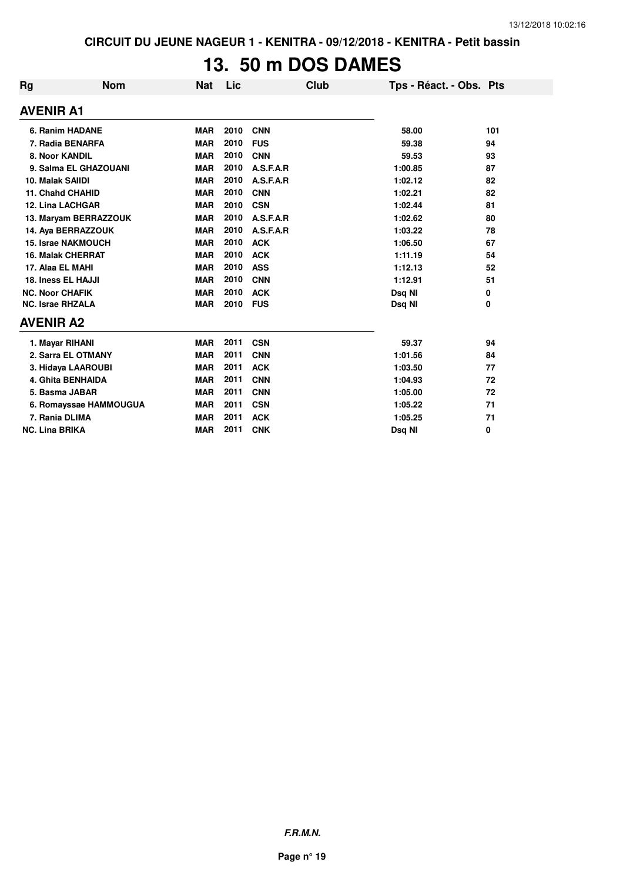## **13. 50 m DOS DAMES**

| <b>Rg</b>                | <b>Nom</b> | <b>Nat</b> | Lic  |            | <b>Club</b> | Tps - Réact. - Obs. Pts |          |
|--------------------------|------------|------------|------|------------|-------------|-------------------------|----------|
| <b>AVENIR A1</b>         |            |            |      |            |             |                         |          |
| 6. Ranim HADANE          |            | <b>MAR</b> | 2010 | <b>CNN</b> |             | 58.00                   | 101      |
| 7. Radia BENARFA         |            | <b>MAR</b> | 2010 | <b>FUS</b> |             | 59.38                   | 94       |
| 8. Noor KANDIL           |            | <b>MAR</b> | 2010 | <b>CNN</b> |             | 59.53                   | 93       |
| 9. Salma EL GHAZOUANI    |            | <b>MAR</b> | 2010 | A.S.F.A.R  |             | 1:00.85                 | 87       |
| 10. Malak SAIIDI         |            | <b>MAR</b> | 2010 | A.S.F.A.R  |             | 1:02.12                 | 82       |
| <b>11. Chahd CHAHID</b>  |            | <b>MAR</b> | 2010 | <b>CNN</b> |             | 1:02.21                 | 82       |
| <b>12. Lina LACHGAR</b>  |            | <b>MAR</b> | 2010 | <b>CSN</b> |             | 1:02.44                 | 81       |
| 13. Maryam BERRAZZOUK    |            | <b>MAR</b> | 2010 | A.S.F.A.R  |             | 1:02.62                 | 80       |
| 14. Aya BERRAZZOUK       |            | <b>MAR</b> | 2010 | A.S.F.A.R  |             | 1:03.22                 | 78       |
| 15. Israe NAKMOUCH       |            | <b>MAR</b> | 2010 | <b>ACK</b> |             | 1:06.50                 | 67       |
| <b>16. Malak CHERRAT</b> |            | <b>MAR</b> | 2010 | <b>ACK</b> |             | 1:11.19                 | 54       |
| 17. Alaa EL MAHI         |            | <b>MAR</b> | 2010 | <b>ASS</b> |             | 1:12.13                 | 52       |
| 18. Iness EL HAJJI       |            | <b>MAR</b> | 2010 | <b>CNN</b> |             | 1:12.91                 | 51       |
| <b>NC. Noor CHAFIK</b>   |            | <b>MAR</b> | 2010 | <b>ACK</b> |             | Dsq NI                  | 0        |
| <b>NC. Israe RHZALA</b>  |            | <b>MAR</b> | 2010 | <b>FUS</b> |             | Dsq NI                  | 0        |
| <b>AVENIR A2</b>         |            |            |      |            |             |                         |          |
| 1. Mayar RIHANI          |            | <b>MAR</b> | 2011 | <b>CSN</b> |             | 59.37                   | 94       |
| 2. Sarra EL OTMANY       |            | <b>MAR</b> | 2011 | <b>CNN</b> |             | 1:01.56                 | 84       |
| 3. Hidaya LAAROUBI       |            | <b>MAR</b> | 2011 | <b>ACK</b> |             | 1:03.50                 | 77       |
| <b>4. Ghita BENHAIDA</b> |            | <b>MAR</b> | 2011 | <b>CNN</b> |             | 1:04.93                 | 72       |
| 5. Basma JABAR           |            | <b>MAR</b> | 2011 | <b>CNN</b> |             | 1:05.00                 | 72       |
| 6. Romayssae HAMMOUGUA   |            | <b>MAR</b> | 2011 | <b>CSN</b> |             | 1:05.22                 | 71       |
| 7. Rania DLIMA           |            | <b>MAR</b> | 2011 | <b>ACK</b> |             | 1:05.25                 | 71       |
| <b>NC. Lina BRIKA</b>    |            | <b>MAR</b> | 2011 | <b>CNK</b> |             | Dsq NI                  | $\bf{0}$ |

**F.R.M.N.**

**Page n° 19**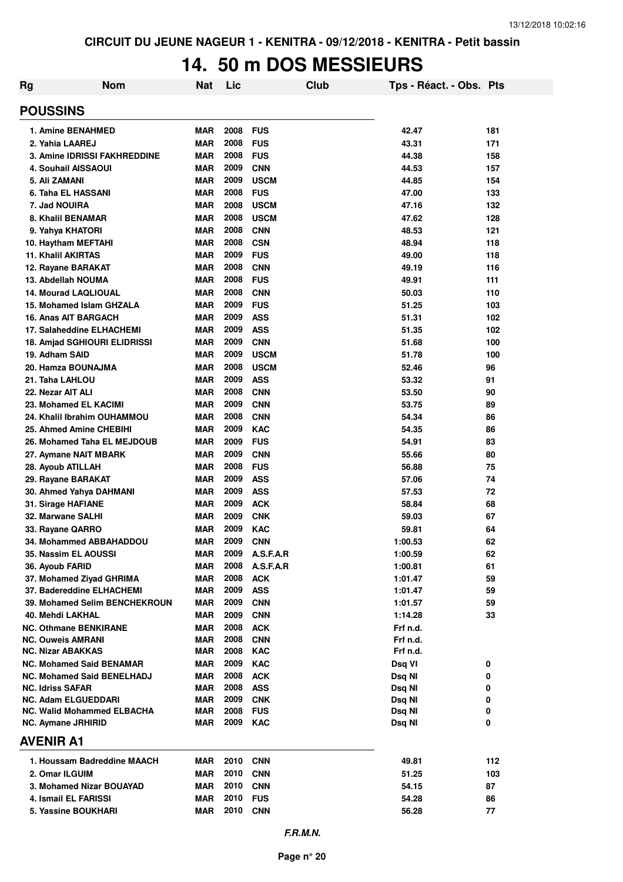#### **14. 50 m DOS MESSIEURS**

| Rg                                               | <b>Nom</b>                    | <b>Nat</b>               | Lic          |                          | Club | Tps - Réact. - Obs. Pts |            |
|--------------------------------------------------|-------------------------------|--------------------------|--------------|--------------------------|------|-------------------------|------------|
| <b>POUSSINS</b>                                  |                               |                          |              |                          |      |                         |            |
| <b>1. Amine BENAHMED</b>                         |                               | <b>MAR</b>               | 2008         | <b>FUS</b>               |      | 42.47                   | 181        |
| 2. Yahia LAAREJ                                  |                               | <b>MAR</b>               | 2008         | <b>FUS</b>               |      | 43.31                   | 171        |
| 3. Amine IDRISSI FAKHREDDINE                     |                               | <b>MAR</b>               | 2008         | <b>FUS</b>               |      | 44.38                   | 158        |
| 4. Souhail AISSAOUI                              |                               | <b>MAR</b>               | 2009         | <b>CNN</b>               |      | 44.53                   | 157        |
| 5. Ali ZAMANI                                    |                               | <b>MAR</b>               | 2009         | <b>USCM</b>              |      | 44.85                   | 154        |
| 6. Taha EL HASSANI                               |                               | <b>MAR</b>               | 2008         | <b>FUS</b>               |      | 47.00                   | 133        |
| 7. Jad NOUIRA                                    |                               | <b>MAR</b>               | 2008         | <b>USCM</b>              |      | 47.16                   | 132        |
| 8. Khalil BENAMAR                                |                               | <b>MAR</b>               | 2008         | <b>USCM</b>              |      | 47.62                   | 128        |
| 9. Yahya KHATORI                                 |                               | <b>MAR</b><br><b>MAR</b> | 2008<br>2008 | <b>CNN</b>               |      | 48.53                   | 121        |
| 10. Haytham MEFTAHI<br><b>11. Khalil AKIRTAS</b> |                               | <b>MAR</b>               | 2009         | <b>CSN</b><br><b>FUS</b> |      | 48.94<br>49.00          | 118<br>118 |
| 12. Rayane BARAKAT                               |                               | <b>MAR</b>               | 2008         | <b>CNN</b>               |      | 49.19                   | 116        |
| 13. Abdellah NOUMA                               |                               | <b>MAR</b>               | 2008         | <b>FUS</b>               |      | 49.91                   | 111        |
| <b>14. Mourad LAQLIOUAL</b>                      |                               | <b>MAR</b>               | 2008         | <b>CNN</b>               |      | 50.03                   | 110        |
| 15. Mohamed Islam GHZALA                         |                               | <b>MAR</b>               | 2009         | <b>FUS</b>               |      | 51.25                   | 103        |
| <b>16. Anas AIT BARGACH</b>                      |                               | <b>MAR</b>               | 2009         | <b>ASS</b>               |      | 51.31                   | 102        |
| 17. Salaheddine ELHACHEMI                        |                               | <b>MAR</b>               | 2009         | <b>ASS</b>               |      | 51.35                   | 102        |
| 18. Amjad SGHIOURI ELIDRISSI                     |                               | <b>MAR</b>               | 2009         | <b>CNN</b>               |      | 51.68                   | 100        |
| 19. Adham SAID                                   |                               | <b>MAR</b>               | 2009         | <b>USCM</b>              |      | 51.78                   | 100        |
| 20. Hamza BOUNAJMA                               |                               | <b>MAR</b>               | 2008         | <b>USCM</b>              |      | 52.46                   | 96         |
| 21. Taha LAHLOU                                  |                               | <b>MAR</b>               | 2009         | <b>ASS</b>               |      | 53.32                   | 91         |
| 22. Nezar AIT ALI                                |                               | <b>MAR</b>               | 2008         | <b>CNN</b>               |      | 53.50                   | 90         |
| 23. Mohamed EL KACIMI                            |                               | <b>MAR</b>               | 2009         | <b>CNN</b>               |      | 53.75                   | 89         |
| 24. Khalil Ibrahim OUHAMMOU                      |                               | <b>MAR</b>               | 2008         | <b>CNN</b>               |      | 54.34                   | 86         |
| 25. Ahmed Amine CHEBIHI                          |                               | <b>MAR</b>               | 2009         | <b>KAC</b>               |      | 54.35                   | 86         |
| 26. Mohamed Taha EL MEJDOUB                      |                               | <b>MAR</b>               | 2009         | <b>FUS</b>               |      | 54.91                   | 83         |
| 27. Aymane NAIT MBARK                            |                               | <b>MAR</b>               | 2009         | <b>CNN</b>               |      | 55.66                   | 80         |
| 28. Ayoub ATILLAH                                |                               | <b>MAR</b>               | 2008         | <b>FUS</b>               |      | 56.88                   | 75         |
| 29. Rayane BARAKAT                               |                               | <b>MAR</b>               | 2009         | <b>ASS</b>               |      | 57.06                   | 74         |
| 30. Ahmed Yahya DAHMANI                          |                               | <b>MAR</b>               | 2009         | <b>ASS</b>               |      | 57.53                   | 72         |
| 31. Sirage HAFIANE                               |                               | <b>MAR</b>               | 2009         | <b>ACK</b>               |      | 58.84                   | 68         |
| 32. Marwane SALHI                                |                               | <b>MAR</b>               | 2009         | <b>CNK</b>               |      | 59.03                   | 67         |
| 33. Rayane QARRO                                 |                               | <b>MAR</b>               | 2009         | <b>KAC</b>               |      | 59.81                   | 64         |
| 34. Mohammed ABBAHADDOU                          |                               | <b>MAR</b>               | 2009         | <b>CNN</b>               |      | 1:00.53                 | 62         |
| 35. Nassim EL AOUSSI                             |                               | <b>MAR</b>               | 2009         | A.S.F.A.R                |      | 1:00.59                 | 62         |
| 36. Ayoub FARID                                  |                               | <b>MAR</b>               | 2008         | A.S.F.A.R                |      | 1:00.81                 | 61         |
| 37. Mohamed Ziyad GHRIMA                         |                               | <b>MAR</b>               | 2008<br>2009 | <b>ACK</b>               |      | 1:01.47                 | 59         |
| 37. Badereddine ELHACHEMI                        | 39. Mohamed Selim BENCHEKROUN | MAR<br><b>MAR</b>        | 2009         | <b>ASS</b><br><b>CNN</b> |      | 1:01.47<br>1:01.57      | 59<br>59   |
| 40. Mehdi LAKHAL                                 |                               | <b>MAR</b>               | 2009         | <b>CNN</b>               |      | 1:14.28                 | 33         |
| <b>NC. Othmane BENKIRANE</b>                     |                               | <b>MAR</b>               | 2008         | <b>ACK</b>               |      | Frf n.d.                |            |
| <b>NC. Ouweis AMRANI</b>                         |                               | MAR                      | 2008         | <b>CNN</b>               |      | Frf n.d.                |            |
| <b>NC. Nizar ABAKKAS</b>                         |                               | <b>MAR</b>               | 2008         | KAC                      |      | Frf n.d.                |            |
| <b>NC. Mohamed Said BENAMAR</b>                  |                               | <b>MAR</b>               | 2009         | <b>KAC</b>               |      | Dsq VI                  | 0          |
| <b>NC. Mohamed Said BENELHADJ</b>                |                               | <b>MAR</b>               | 2008         | <b>ACK</b>               |      | Dsq NI                  | 0          |
| NC. Idriss SAFAR                                 |                               | <b>MAR</b>               | 2008         | <b>ASS</b>               |      | Dsq NI                  | 0          |
| <b>NC. Adam ELGUEDDARI</b>                       |                               | <b>MAR</b>               | 2009         | <b>CNK</b>               |      | Dsq NI                  | 0          |
| <b>NC. Walid Mohammed ELBACHA</b>                |                               | <b>MAR</b>               | 2008         | <b>FUS</b>               |      | Dsq NI                  | 0          |
| NC. Aymane JRHIRID                               |                               | <b>MAR</b>               | 2009         | <b>KAC</b>               |      | Dsq NI                  | 0          |
| <b>AVENIR A1</b>                                 |                               |                          |              |                          |      |                         |            |
| 1. Houssam Badreddine MAACH                      |                               | <b>MAR</b>               | 2010         | <b>CNN</b>               |      | 49.81                   | 112        |
| 2. Omar ILGUIM                                   |                               | <b>MAR</b>               | 2010         | <b>CNN</b>               |      | 51.25                   | 103        |
| 3. Mohamed Nizar BOUAYAD                         |                               | <b>MAR</b>               | 2010         | <b>CNN</b>               |      | 54.15                   | 87         |
| 4. Ismail EL FARISSI                             |                               | <b>MAR</b>               | 2010         | <b>FUS</b>               |      | 54.28                   | 86         |
| 5. Yassine BOUKHARI                              |                               | MAR                      | 2010         | <b>CNN</b>               |      | 56.28                   | 77         |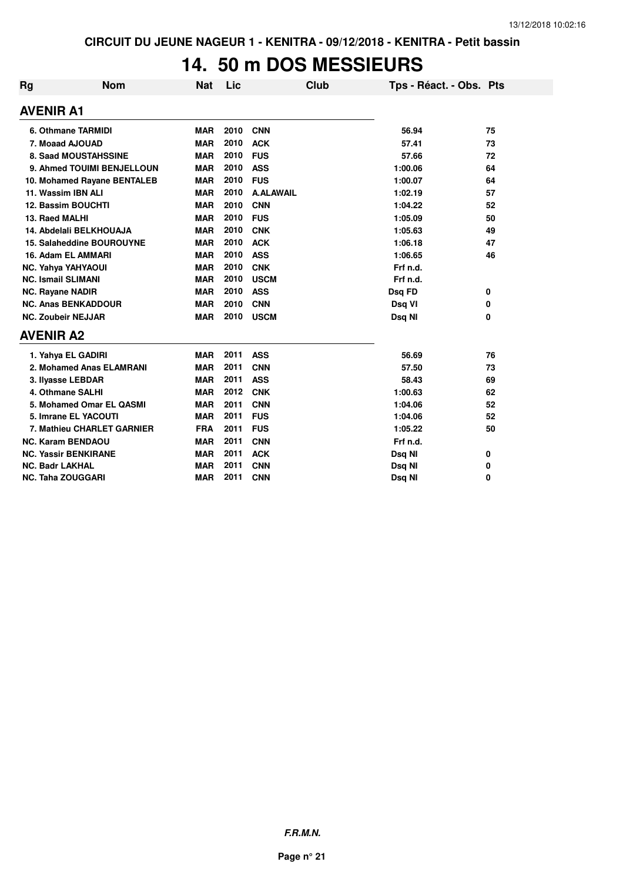## **14. 50 m DOS MESSIEURS**

| <b>Rg</b>        | <b>Nom</b>                  | <b>Nat</b> | Lic  | Club             | Tps - Réact. - Obs. Pts |    |
|------------------|-----------------------------|------------|------|------------------|-------------------------|----|
| <b>AVENIR A1</b> |                             |            |      |                  |                         |    |
|                  | 6. Othmane TARMIDI          | <b>MAR</b> | 2010 | <b>CNN</b>       | 56.94                   | 75 |
|                  | 7. Moaad AJOUAD             | <b>MAR</b> | 2010 | <b>ACK</b>       | 57.41                   | 73 |
|                  | 8. Saad MOUSTAHSSINE        | <b>MAR</b> | 2010 | <b>FUS</b>       | 57.66                   | 72 |
|                  | 9. Ahmed TOUIMI BENJELLOUN  | <b>MAR</b> | 2010 | <b>ASS</b>       | 1:00.06                 | 64 |
|                  | 10. Mohamed Rayane BENTALEB | <b>MAR</b> | 2010 | <b>FUS</b>       | 1:00.07                 | 64 |
|                  | 11. Wassim IBN ALI          | <b>MAR</b> | 2010 | <b>A.ALAWAIL</b> | 1:02.19                 | 57 |
|                  | 12. Bassim BOUCHTI          | <b>MAR</b> | 2010 | <b>CNN</b>       | 1:04.22                 | 52 |
|                  | 13. Raed MALHI              | <b>MAR</b> | 2010 | <b>FUS</b>       | 1:05.09                 | 50 |
|                  | 14. Abdelali BELKHOUAJA     | <b>MAR</b> | 2010 | <b>CNK</b>       | 1:05.63                 | 49 |
|                  | 15. Salaheddine BOUROUYNE   | <b>MAR</b> | 2010 | <b>ACK</b>       | 1:06.18                 | 47 |
|                  | 16. Adam EL AMMARI          | <b>MAR</b> | 2010 | <b>ASS</b>       | 1:06.65                 | 46 |
|                  | <b>NC. Yahya YAHYAOUI</b>   | <b>MAR</b> | 2010 | <b>CNK</b>       | Frf n.d.                |    |
|                  | <b>NC. Ismail SLIMANI</b>   | <b>MAR</b> | 2010 | <b>USCM</b>      | Frf n.d.                |    |
|                  | NC. Rayane NADIR            | <b>MAR</b> | 2010 | <b>ASS</b>       | Dsq FD                  | 0  |
|                  | <b>NC. Anas BENKADDOUR</b>  | <b>MAR</b> | 2010 | <b>CNN</b>       | Dsq VI                  | 0  |
|                  | <b>NC. Zoubeir NEJJAR</b>   | <b>MAR</b> | 2010 | <b>USCM</b>      | Dsq NI                  | 0  |
| <b>AVENIR A2</b> |                             |            |      |                  |                         |    |
|                  | 1. Yahya EL GADIRI          | <b>MAR</b> | 2011 | <b>ASS</b>       | 56.69                   | 76 |
|                  | 2. Mohamed Anas ELAMRANI    | <b>MAR</b> | 2011 | <b>CNN</b>       | 57.50                   | 73 |
|                  | 3. Ilyasse LEBDAR           | <b>MAR</b> | 2011 | <b>ASS</b>       | 58.43                   | 69 |
|                  | 4. Othmane SALHI            | <b>MAR</b> | 2012 | <b>CNK</b>       | 1:00.63                 | 62 |
|                  | 5. Mohamed Omar EL QASMI    | <b>MAR</b> | 2011 | <b>CNN</b>       | 1:04.06                 | 52 |
|                  | 5. Imrane EL YACOUTI        | <b>MAR</b> | 2011 | <b>FUS</b>       | 1:04.06                 | 52 |
|                  | 7. Mathieu CHARLET GARNIER  | <b>FRA</b> | 2011 | <b>FUS</b>       | 1:05.22                 | 50 |
|                  | <b>NC. Karam BENDAOU</b>    | <b>MAR</b> | 2011 | <b>CNN</b>       | Frf n.d.                |    |
|                  | <b>NC. Yassir BENKIRANE</b> | <b>MAR</b> | 2011 | <b>ACK</b>       | Dsq NI                  | 0  |
|                  | <b>NC. Badr LAKHAL</b>      | <b>MAR</b> | 2011 | <b>CNN</b>       | Dsq NI                  | 0  |
|                  | <b>NC. Taha ZOUGGARI</b>    | <b>MAR</b> | 2011 | <b>CNN</b>       | Dsq NI                  | 0  |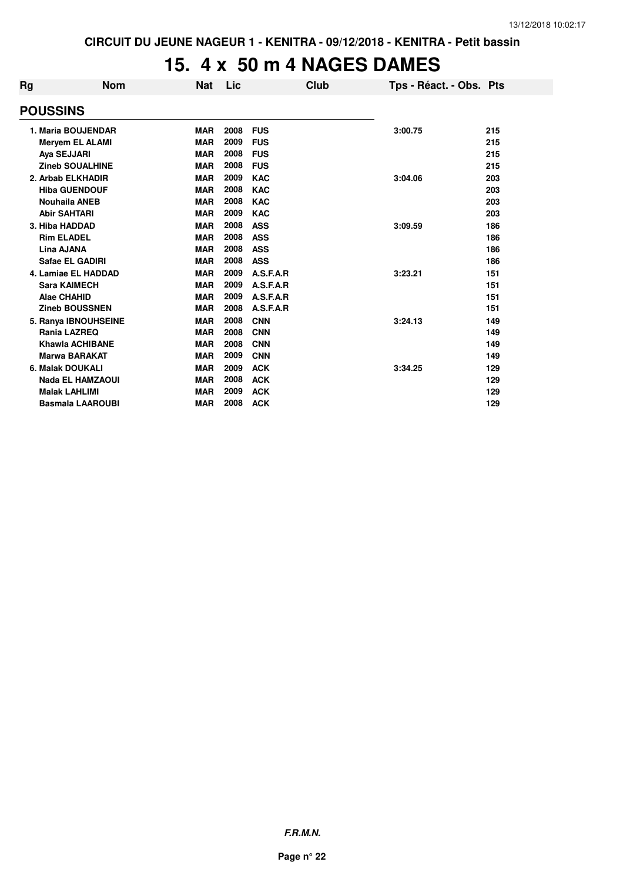#### **15. 4 x 50 m 4 NAGES DAMES**

| Rg | Nom                     | <b>Nat</b> | Lic  |            | Club | Tps - Réact. - Obs. Pts |     |
|----|-------------------------|------------|------|------------|------|-------------------------|-----|
|    | <b>POUSSINS</b>         |            |      |            |      |                         |     |
|    | 1. Maria BOUJENDAR      | <b>MAR</b> | 2008 | <b>FUS</b> |      | 3:00.75                 | 215 |
|    | <b>Meryem EL ALAMI</b>  | <b>MAR</b> | 2009 | <b>FUS</b> |      |                         | 215 |
|    | Aya SEJJARI             | <b>MAR</b> | 2008 | <b>FUS</b> |      |                         | 215 |
|    | <b>Zineb SOUALHINE</b>  | <b>MAR</b> | 2008 | <b>FUS</b> |      |                         | 215 |
|    | 2. Arbab ELKHADIR       | <b>MAR</b> | 2009 | <b>KAC</b> |      | 3:04.06                 | 203 |
|    | <b>Hiba GUENDOUF</b>    | <b>MAR</b> | 2008 | <b>KAC</b> |      |                         | 203 |
|    | <b>Nouhaila ANEB</b>    | <b>MAR</b> | 2008 | <b>KAC</b> |      |                         | 203 |
|    | <b>Abir SAHTARI</b>     | <b>MAR</b> | 2009 | <b>KAC</b> |      |                         | 203 |
|    | 3. Hiba HADDAD          | <b>MAR</b> | 2008 | <b>ASS</b> |      | 3:09.59                 | 186 |
|    | <b>Rim ELADEL</b>       | <b>MAR</b> | 2008 | <b>ASS</b> |      |                         | 186 |
|    | Lina AJANA              | <b>MAR</b> | 2008 | <b>ASS</b> |      |                         | 186 |
|    | Safae EL GADIRI         | <b>MAR</b> | 2008 | <b>ASS</b> |      |                         | 186 |
|    | 4. Lamiae EL HADDAD     | <b>MAR</b> | 2009 | A.S.F.A.R  |      | 3:23.21                 | 151 |
|    | <b>Sara KAIMECH</b>     | <b>MAR</b> | 2009 | A.S.F.A.R  |      |                         | 151 |
|    | Alae CHAHID             | <b>MAR</b> | 2009 | A.S.F.A.R  |      |                         | 151 |
|    | <b>Zineb BOUSSNEN</b>   | <b>MAR</b> | 2008 | A.S.F.A.R  |      |                         | 151 |
|    | 5. Ranya IBNOUHSEINE    | <b>MAR</b> | 2008 | <b>CNN</b> |      | 3:24.13                 | 149 |
|    | Rania LAZREQ            | <b>MAR</b> | 2008 | <b>CNN</b> |      |                         | 149 |
|    | <b>Khawla ACHIBANE</b>  | <b>MAR</b> | 2008 | <b>CNN</b> |      |                         | 149 |
|    | <b>Marwa BARAKAT</b>    | <b>MAR</b> | 2009 | <b>CNN</b> |      |                         | 149 |
|    | 6. Malak DOUKALI        | <b>MAR</b> | 2009 | <b>ACK</b> |      | 3:34.25                 | 129 |
|    | <b>Nada EL HAMZAOUI</b> | <b>MAR</b> | 2008 | <b>ACK</b> |      |                         | 129 |
|    | <b>Malak LAHLIMI</b>    | <b>MAR</b> | 2009 | <b>ACK</b> |      |                         | 129 |
|    | <b>Basmala LAAROUBI</b> | <b>MAR</b> | 2008 | <b>ACK</b> |      |                         | 129 |